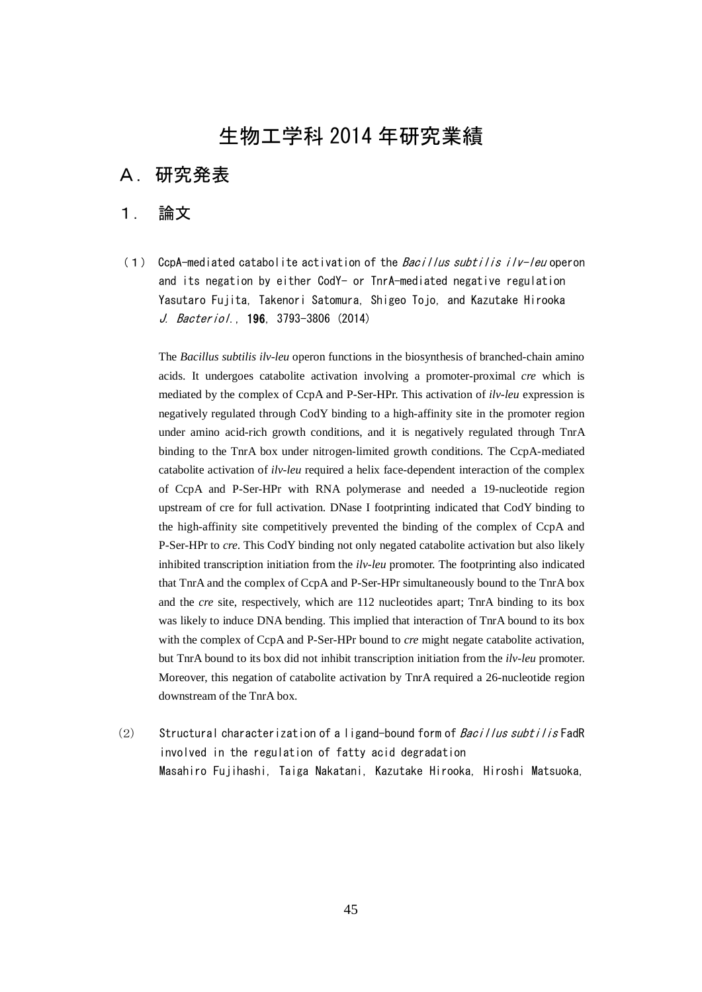# 生物工学科 2014 年研究業績

# A.研究発表

#### 1. 論文

(1) CcpA-mediated catabolite activation of the  $Baci$  llus subtilis ilv-leu operon and its negation by either CodY- or TnrA-mediated negative regulation Yasutaro Fujita, Takenori Satomura, Shigeo Tojo, and Kazutake Hirooka J. Bacteriol., 196, 3793-3806 (2014)

The *Bacillus subtilis ilv-leu* operon functions in the biosynthesis of branched-chain amino acids. It undergoes catabolite activation involving a promoter-proximal *cre* which is mediated by the complex of CcpA and P-Ser-HPr. This activation of *ilv-leu* expression is negatively regulated through CodY binding to a high-affinity site in the promoter region under amino acid-rich growth conditions, and it is negatively regulated through TnrA binding to the TnrA box under nitrogen-limited growth conditions. The CcpA-mediated catabolite activation of *ilv-leu* required a helix face-dependent interaction of the complex of CcpA and P-Ser-HPr with RNA polymerase and needed a 19-nucleotide region upstream of cre for full activation. DNase I footprinting indicated that CodY binding to the high-affinity site competitively prevented the binding of the complex of CcpA and P-Ser-HPr to *cre*. This CodY binding not only negated catabolite activation but also likely inhibited transcription initiation from the *ilv-leu* promoter. The footprinting also indicated that TnrA and the complex of CcpA and P-Ser-HPr simultaneously bound to the TnrA box and the *cre* site, respectively, which are 112 nucleotides apart; TnrA binding to its box was likely to induce DNA bending. This implied that interaction of TnrA bound to its box with the complex of CcpA and P-Ser-HPr bound to *cre* might negate catabolite activation, but TnrA bound to its box did not inhibit transcription initiation from the *ilv-leu* promoter. Moreover, this negation of catabolite activation by TnrA required a 26-nucleotide region downstream of the TnrA box.

(2) Structural characterization of a ligand-bound form of  $Bacillus subtilis$  FadR involved in the regulation of fatty acid degradation Masahiro Fujihashi, Taiga Nakatani, Kazutake Hirooka, Hiroshi Matsuoka,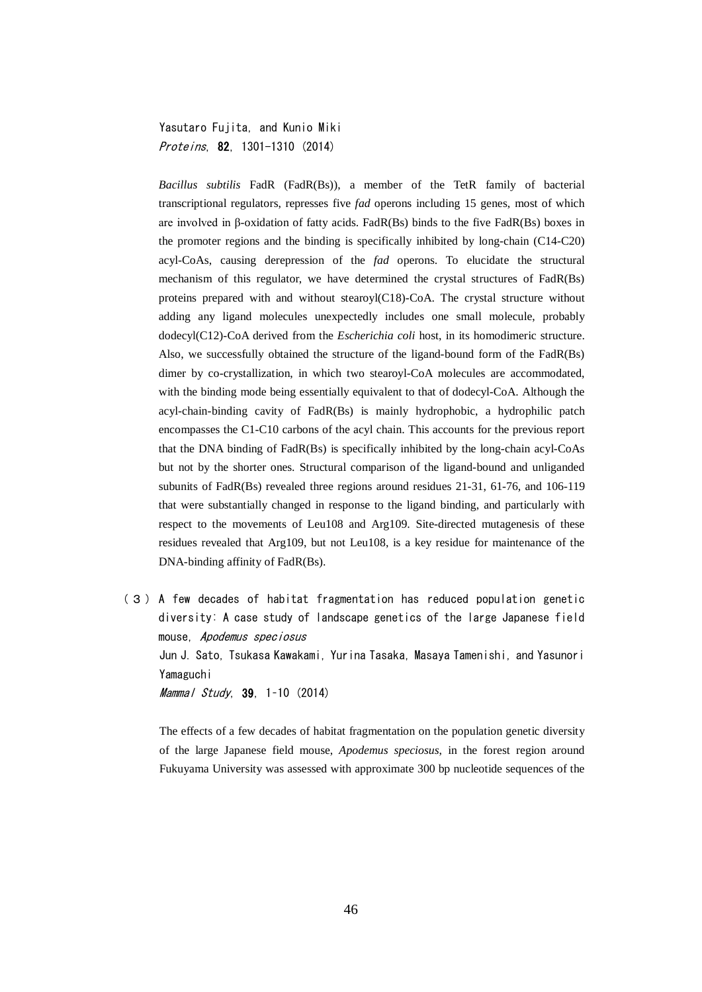Yasutaro Fujita, and Kunio Miki Proteins, 82, 1301-1310 (2014)

*Bacillus subtilis* FadR (FadR(Bs)), a member of the TetR family of bacterial transcriptional regulators, represses five *fad* operons including 15 genes, most of which are involved in β-oxidation of fatty acids. FadR(Bs) binds to the five FadR(Bs) boxes in the promoter regions and the binding is specifically inhibited by long-chain (C14-C20) acyl-CoAs, causing derepression of the *fad* operons. To elucidate the structural mechanism of this regulator, we have determined the crystal structures of FadR(Bs) proteins prepared with and without stearoyl(C18)-CoA. The crystal structure without adding any ligand molecules unexpectedly includes one small molecule, probably dodecyl(C12)-CoA derived from the *Escherichia coli* host, in its homodimeric structure. Also, we successfully obtained the structure of the ligand-bound form of the FadR(Bs) dimer by co-crystallization, in which two stearoyl-CoA molecules are accommodated, with the binding mode being essentially equivalent to that of dodecyl-CoA. Although the acyl-chain-binding cavity of FadR(Bs) is mainly hydrophobic, a hydrophilic patch encompasses the C1-C10 carbons of the acyl chain. This accounts for the previous report that the DNA binding of FadR(Bs) is specifically inhibited by the long-chain acyl-CoAs but not by the shorter ones. Structural comparison of the ligand-bound and unliganded subunits of FadR(Bs) revealed three regions around residues 21-31, 61-76, and 106-119 that were substantially changed in response to the ligand binding, and particularly with respect to the movements of Leu108 and Arg109. Site-directed mutagenesis of these residues revealed that Arg109, but not Leu108, is a key residue for maintenance of the DNA-binding affinity of FadR(Bs).

(3) A few decades of habitat fragmentation has reduced population genetic diversity: A case study of landscape genetics of the large Japanese field mouse, Apodemus speciosus Jun J. Sato, Tsukasa Kawakami, Yurina Tasaka, Masaya Tamenishi, and Yasunori Yamaguchi Mammal Study, 39, 1–10 (2014)

The effects of a few decades of habitat fragmentation on the population genetic diversity of the large Japanese field mouse, *Apodemus speciosus*, in the forest region around Fukuyama University was assessed with approximate 300 bp nucleotide sequences of the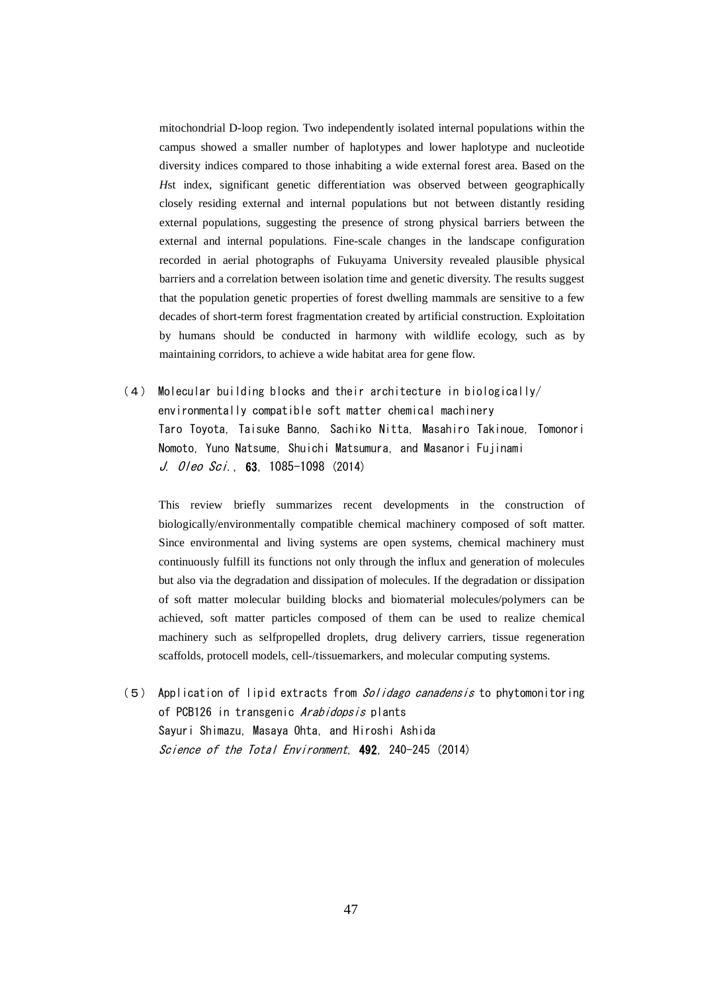mitochondrial D-loop region. Two independently isolated internal populations within the campus showed a smaller number of haplotypes and lower haplotype and nucleotide diversity indices compared to those inhabiting a wide external forest area. Based on the *H*st index, significant genetic differentiation was observed between geographically closely residing external and internal populations but not between distantly residing external populations, suggesting the presence of strong physical barriers between the external and internal populations. Fine-scale changes in the landscape configuration recorded in aerial photographs of Fukuyama University revealed plausible physical barriers and a correlation between isolation time and genetic diversity. The results suggest that the population genetic properties of forest dwelling mammals are sensitive to a few decades of short-term forest fragmentation created by artificial construction. Exploitation by humans should be conducted in harmony with wildlife ecology, such as by maintaining corridors, to achieve a wide habitat area for gene flow.

(4) Molecular building blocks and their architecture in biologically/ environmentally compatible soft matter chemical machinery Taro Toyota, Taisuke Banno, Sachiko Nitta, Masahiro Takinoue, Tomonori Nomoto, Yuno Natsume, Shuichi Matsumura, and Masanori Fujinami J. 0/eo Sci., 63, 1085-1098 (2014)

This review briefly summarizes recent developments in the construction of biologically/environmentally compatible chemical machinery composed of soft matter. Since environmental and living systems are open systems, chemical machinery must continuously fulfill its functions not only through the influx and generation of molecules but also via the degradation and dissipation of molecules. If the degradation or dissipation of soft matter molecular building blocks and biomaterial molecules/polymers can be achieved, soft matter particles composed of them can be used to realize chemical machinery such as selfpropelled droplets, drug delivery carriers, tissue regeneration scaffolds, protocell models, cell-/tissuemarkers, and molecular computing systems.

(5) Application of lipid extracts from *Solidago canadensis* to phytomonitoring of PCB126 in transgenic Arabidopsis plants Sayuri Shimazu, Masaya Ohta, and Hiroshi Ashida Science of the Total Environment, 492, 240-245 (2014)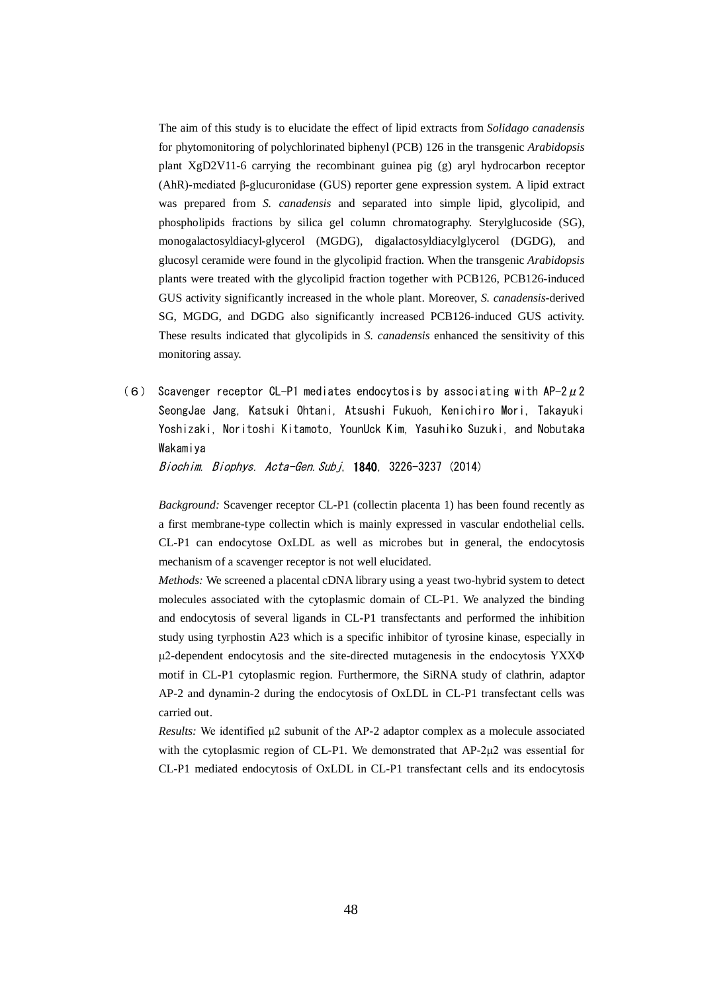The aim of this study is to elucidate the effect of lipid extracts from *Solidago canadensis* for phytomonitoring of polychlorinated biphenyl (PCB) 126 in the transgenic *Arabidopsis* plant XgD2V11-6 carrying the recombinant guinea pig (g) aryl hydrocarbon receptor (AhR)-mediated β-glucuronidase (GUS) reporter gene expression system. A lipid extract was prepared from *S. canadensis* and separated into simple lipid, glycolipid, and phospholipids fractions by silica gel column chromatography. Sterylglucoside (SG), monogalactosyldiacyl-glycerol (MGDG), digalactosyldiacylglycerol (DGDG), and glucosyl ceramide were found in the glycolipid fraction. When the transgenic *Arabidopsis* plants were treated with the glycolipid fraction together with PCB126, PCB126-induced GUS activity significantly increased in the whole plant. Moreover, *S. canadensis*-derived SG, MGDG, and DGDG also significantly increased PCB126-induced GUS activity. These results indicated that glycolipids in *S. canadensis* enhanced the sensitivity of this monitoring assay.

(6) Scavenger receptor CL-P1 mediates endocytosis by associating with AP-2μ2 SeongJae Jang, Katsuki Ohtani, Atsushi Fukuoh, Kenichiro Mori, Takayuki Yoshizaki, Noritoshi Kitamoto, YounUck Kim, Yasuhiko Suzuki, and Nobutaka Wakamiya

Biochim. Biophys. Acta-Gen.Subj, 1**840**, 3226-3237 (2014)

*Background:* Scavenger receptor CL-P1 (collectin placenta 1) has been found recently as a first membrane-type collectin which is mainly expressed in vascular endothelial cells. CL-P1 can endocytose OxLDL as well as microbes but in general, the endocytosis mechanism of a scavenger receptor is not well elucidated.

*Methods:* We screened a placental cDNA library using a yeast two-hybrid system to detect molecules associated with the cytoplasmic domain of CL-P1. We analyzed the binding and endocytosis of several ligands in CL-P1 transfectants and performed the inhibition study using tyrphostin A23 which is a specific inhibitor of tyrosine kinase, especially in μ2-dependent endocytosis and the site-directed mutagenesis in the endocytosis YXXΦ motif in CL-P1 cytoplasmic region. Furthermore, the SiRNA study of clathrin, adaptor AP-2 and dynamin-2 during the endocytosis of OxLDL in CL-P1 transfectant cells was carried out.

*Results:* We identified μ2 subunit of the AP-2 adaptor complex as a molecule associated with the cytoplasmic region of CL-P1. We demonstrated that AP-2μ2 was essential for CL-P1 mediated endocytosis of OxLDL in CL-P1 transfectant cells and its endocytosis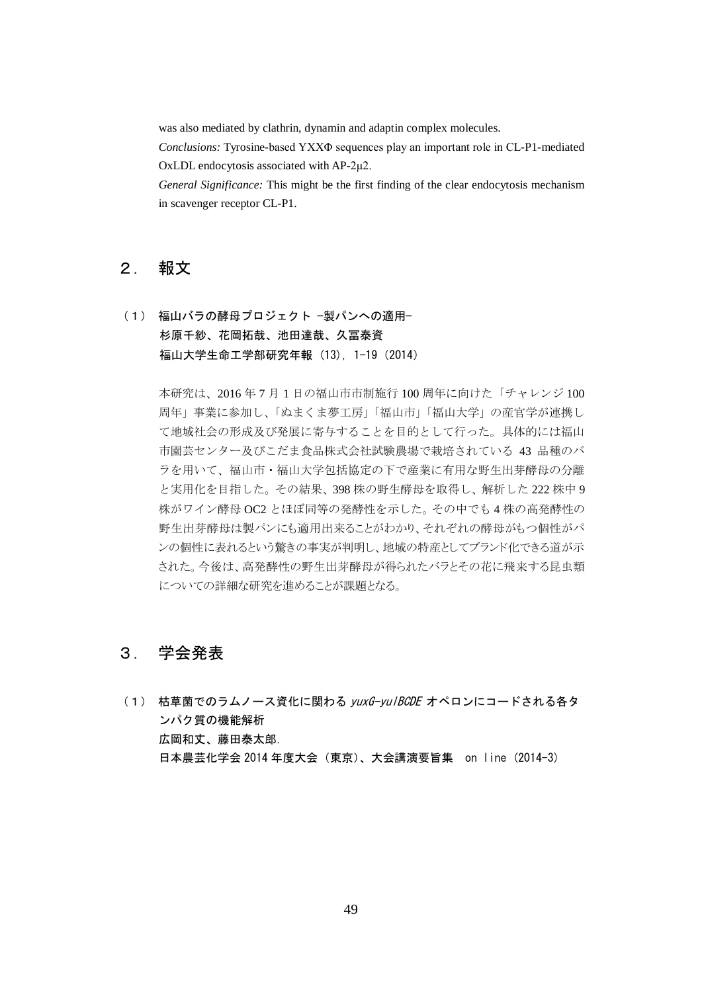was also mediated by clathrin, dynamin and adaptin complex molecules.

*Conclusions:* Tyrosine-based YXXΦ sequences play an important role in CL-P1-mediated OxLDL endocytosis associated with AP-2μ2.

*General Significance:* This might be the first finding of the clear endocytosis mechanism in scavenger receptor CL-P1.

#### 2. 報文

## (1) 福山バラの酵母プロジェクト −製パンへの適用− 杉原千紗、花岡拓哉、池田達哉、久冨泰資 福山大学生命工学部研究年報 (13), 1-19(2014)

本研究は、2016 年 7 月 1 日の福山市市制施行 100 周年に向けた「チャレンジ 100 周年」事業に参加し、「ぬまくま夢工房」「福山市」「福山大学」の産官学が連携し て地域社会の形成及び発展に寄与することを目的として行った。具体的には福山 市園芸センター及びこだま食品株式会社試験農場で栽培されている 43 品種のバ ラを用いて、福山市・福山大学包括協定の下で産業に有用な野生出芽酵母の分離 と実用化を目指した。その結果、398 株の野生酵母を取得し、解析した 222 株中 9 株がワイン酵母 OC2 とほぼ同等の発酵性を示した。その中でも 4 株の高発酵性の 野生出芽酵母は製パンにも適用出来ることがわかり、それぞれの酵母がもつ個性がパ ンの個性に表れるという驚きの事実が判明し、地域の特産としてブランド化できる道が示 された。今後は、高発酵性の野生出芽酵母が得られたバラとその花に飛来する昆虫類 についての詳細な研究を進めることが課題となる。

## 3. 学会発表

(1) 枯草菌でのラムノース資化に関わる yuxG-yulBCDE オペロンにコードされる各タ ンパク質の機能解析 広岡和丈、藤田泰太郎. 日本農芸化学会 2014 年度大会(東京)、大会講演要旨集 on line (2014-3)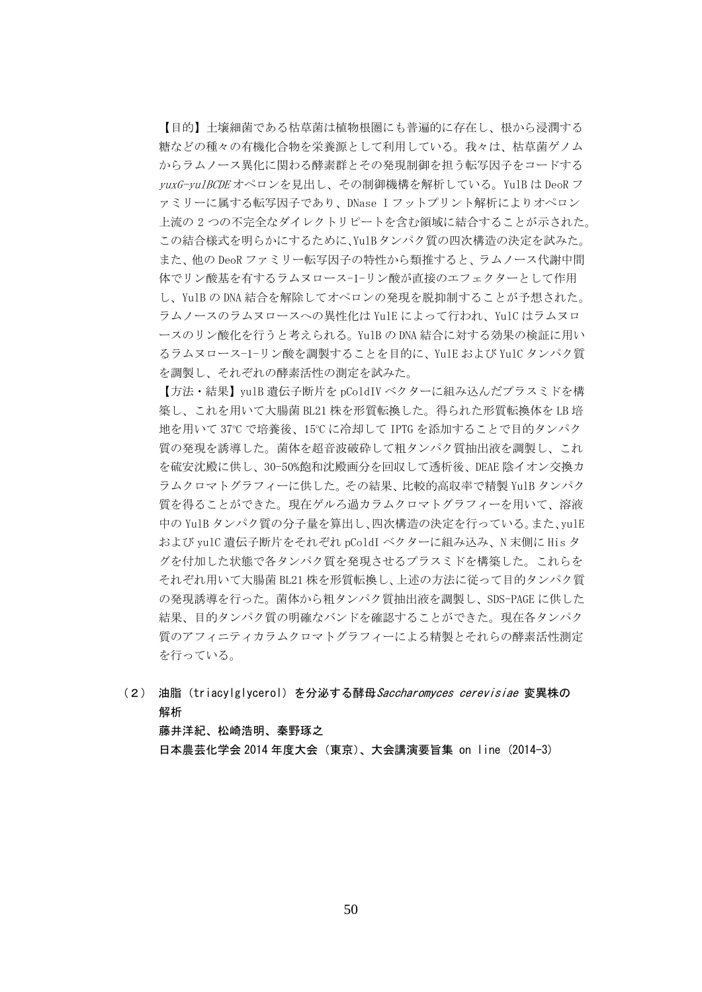【目的】土壌細菌である枯草菌は植物根圏にも普遍的に存在し、根から浸潤する 糖などの種々の有機化合物を栄養源として利用している。我々は、枯草菌ゲノム からラムノース異化に関わる酵素群とその発現制御を担う転写因子をコードする yuxG-yulBCDE オペロンを見出し、その制御機構を解析している。YulB は DeoR フ ァミリーに属する転写因子であり、DNase I フットプリント解析によりオペロン 上流の 2 つの不完全なダイレクトリピートを含む領域に結合することが示された。 この結合様式を明らかにするために、YulBタンパク質の四次構造の決定を試みた。 また、他の DeoR ファミリー転写因子の特性から類推すると、ラムノース代謝中間 体でリン酸基を有するラムヌロース-1-リン酸が直接のエフェクターとして作用 し、YulB の DNA 結合を解除してオペロンの発現を脱抑制することが予想された。 ラムノースのラムヌロースへの異性化は YulE によって行われ、YulC はラムヌロ ースのリン酸化を行うと考えられる。YulB の DNA 結合に対する効果の検証に用い るラムヌロース-1-リン酸を調製することを目的に、YulE および YulC タンパク質 を調製し、それぞれの酵素活性の測定を試みた。

【方法・結果】yulB 遺伝子断片を pColdIV ベクターに組み込んだプラスミドを構 築し、これを用いて大腸菌 BL21 株を形質転換した。得られた形質転換体を LB 培 地を用いて 37℃ で培養後、15℃ に冷却して IPTG を添加することで目的タンパク 質の発現を誘導した。菌体を超音波破砕して粗タンパク質抽出液を調製し、これ を硫安沈殿に供し、30-50%飽和沈殿画分を回収して透析後、DEAE 陰イオン交換カ ラムクロマトグラフィーに供した。その結果、比較的高収率で精製 YulB タンパク 質を得ることができた。現在ゲルろ過カラムクロマトグラフィーを用いて、溶液 中の YulB タンパク質の分子量を算出し、四次構造の決定を行っている。また、yulE および yulC 遺伝子断片をそれぞれ pColdI ベクターに組み込み、N 末側に His タ グを付加した状態で各タンパク質を発現させるプラスミドを構築した。これらを それぞれ用いて大腸菌 BL21 株を形質転換し、上述の方法に従って目的タンパク質 の発現誘導を行った。菌体から粗タンパク質抽出液を調製し、SDS-PAGE に供した 結果、目的タンパク質の明確なバンドを確認することができた。現在各タンパク 質のアフィニティカラムクロマトグラフィーによる精製とそれらの酵素活性測定 を行っている。

(2) 油脂(triacylglycerol)を分泌する酵母*Saccharomyces cerevisiae* 変異株の 解析

藤井洋紀、松崎浩明、秦野琢之

日本農芸化学会 2014 年度大会(東京)、大会講演要旨集 on line (2014-3)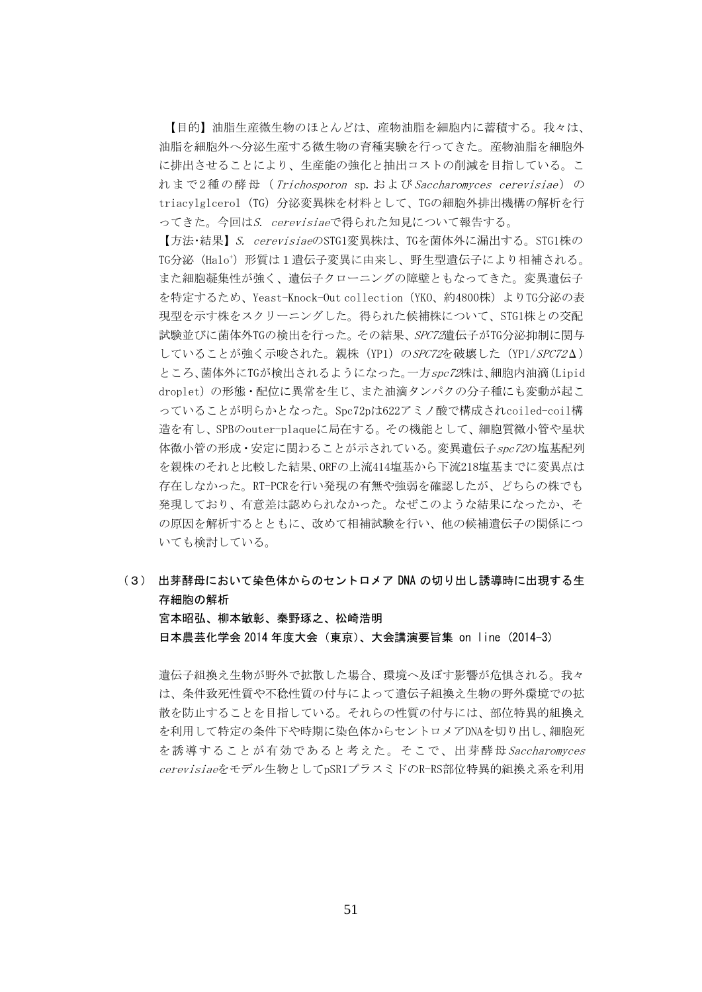【目的】油脂生産微生物のほとんどは、産物油脂を細胞内に蓄積する。我々は、 油脂を細胞外へ分泌生産する微生物の育種実験を行ってきた。産物油脂を細胞外 に排出させることにより、生産能の強化と抽出コストの削減を目指している。こ れまで2種の酵母 (Trichosporon sp.およびSaccharomyces cerevisiae)の triacylglcerol (TG) 分泌変異株を材料として、TGの細胞外排出機構の解析を行 ってきた。今回はS. cerevisiaeで得られた知見について報告する。

【方法·結果】S. cerevisiaeのSTG1変異株は、TGを菌体外に漏出する。STG1株の TG分泌(Halo<sup>+</sup>)形質は1遺伝子変異に由来し、野生型遺伝子により相補される。 また細胞凝集性が強く、遺伝子クローニングの障壁ともなってきた。変異遺伝子 を特定するため、Yeast-Knock-Out collection(YKO、約4800株)よりTG分泌の表 現型を示す株をスクリーニングした。得られた候補株について、STG1株との交配 試験並びに菌体外TGの検出を行った。その結果、SPC72遺伝子がTG分泌抑制に関与 していることが強く示唆された。親株 (YP1) のSPC72を破壊した (YP1/SPC72Δ) ところ、菌体外にTGが検出されるようになった。一方spc72株は、細胞内油滴(Lipid droplet)の形態・配位に異常を生じ、また油滴タンパクの分子種にも変動が起こ っていることが明らかとなった。Spc72pは622アミノ酸で構成されcoiled-coil構 造を有し、SPBのouter-plaqueに局在する。その機能として、細胞質微小管や星状 体微小管の形成・安定に関わることが示されている。変異遺伝子spc72の塩基配列 を親株のそれと比較した結果、ORFの上流414塩基から下流218塩基までに変異点は 存在しなかった。RT-PCRを行い発現の有無や強弱を確認したが、どちらの株でも 発現しており、有意差は認められなかった。なぜこのような結果になったか、そ の原因を解析するとともに、改めて相補試験を行い、他の候補遺伝子の関係につ いても検討している。

## (3) 出芽酵母において染色体からのセントロメア DNA の切り出し誘導時に出現する生 存細胞の解析 宮本昭弘、柳本敏彰、秦野琢之、松崎浩明 日本農芸化学会 2014 年度大会(東京)、大会講演要旨集 on line (2014-3)

遺伝子組換え生物が野外で拡散した場合、環境へ及ぼす影響が危惧される。我々 は、条件致死性質や不稔性質の付与によって遺伝子組換え生物の野外環境での拡 散を防止することを目指している。それらの性質の付与には、部位特異的組換え を利用して特定の条件下や時期に染色体からセントロメアDNAを切り出し、細胞死 を誘導することが有効であると考えた。そこで、出芽酵母Saccharomyces cerevisiaeをモデル生物としてpSR1プラスミドのR-RS部位特異的組換え系を利用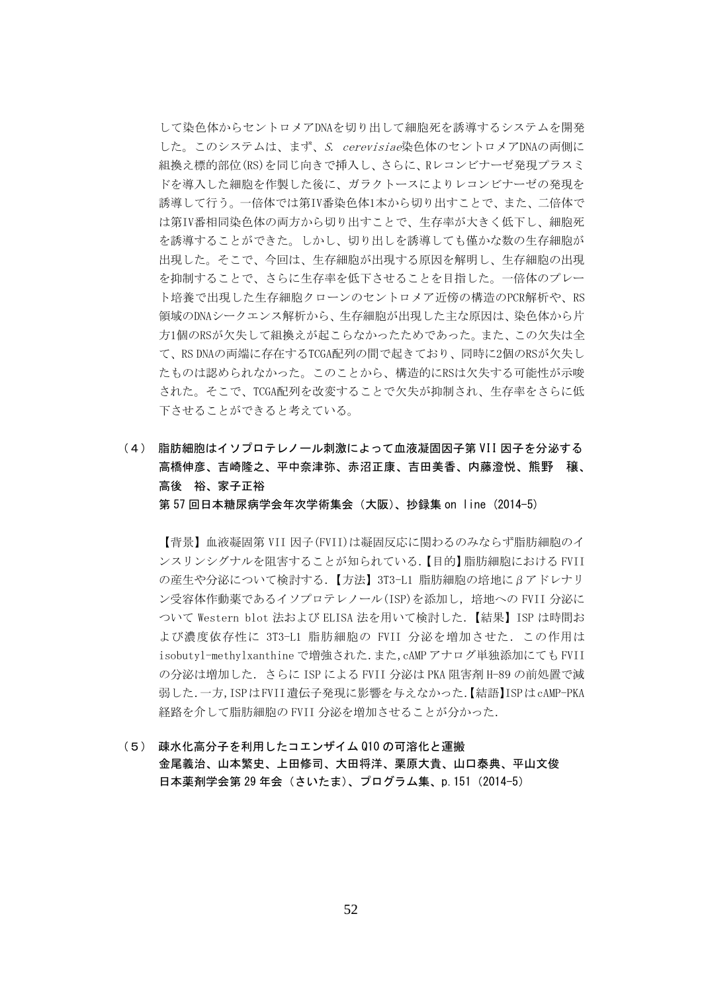して染色体からセントロメアDNAを切り出して細胞死を誘導するシステムを開発 した。このシステムは、まず、S. cerevisiae染色体のセントロメアDNAの両側に 組換え標的部位(RS)を同じ向きで挿入し、さらに、Rレコンビナーゼ発現プラスミ ドを導入した細胞を作製した後に、ガラクトースによりレコンビナーゼの発現を 誘導して行う。一倍体では第IV番染色体1本から切り出すことで、また、二倍体で は第IV番相同染色体の両方から切り出すことで、生存率が大きく低下し、細胞死 を誘導することができた。しかし、切り出しを誘導しても僅かな数の生存細胞が 出現した。そこで、今回は、生存細胞が出現する原因を解明し、生存細胞の出現 を抑制することで、さらに生存率を低下させることを目指した。一倍体のプレー ト培養で出現した生存細胞クローンのセントロメア近傍の構造のPCR解析や、RS 領域のDNAシークエンス解析から、生存細胞が出現した主な原因は、染色体から片 方1個のRSが欠失して組換えが起こらなかったためであった。また、この欠失は全 て、RS DNAの両端に存在するTCGA配列の間で起きており、同時に2個のRSが欠失し たものは認められなかった。このことから、構造的にRSは欠失する可能性が示唆 された。そこで、TCGA配列を改変することで欠失が抑制され、生存率をさらに低 下させることができると考えている。

(4) 脂肪細胞はイソプロテレノール刺激によって血液凝固因子第 VII 因子を分泌する 高橋伸彦、吉崎隆之、平中奈津弥、赤沼正康、吉田美香、内藤澄悦、熊野 穣、 高後 裕、家子正裕

第 57 回日本糖尿病学会年次学術集会(大阪)、抄録集 on line (2014-5)

【背景】血液凝固第 VII 因子(FVII)は凝固反応に関わるのみならず脂肪細胞のイ ンスリンシグナルを阻害することが知られている.【目的】脂肪細胞における FVII の産生や分泌について検討する.【方法】3T3-L1 脂肪細胞の培地にβアドレナリ ン受容体作動薬であるイソプロテレノール(ISP)を添加し、培地への FVII 分泌に ついて Western blot 法および ELISA 法を用いて検討した.【結果】ISP は時間お よび濃度依存性に 3T3-L1 脂肪細胞の FVII 分泌を増加させた.この作用は isobutyl-methylxanthine で増強された.また,cAMP アナログ単独添加にても FVII の分泌は増加した.さらに ISP による FVII 分泌は PKA 阻害剤 H-89 の前処置で減 弱した.一方,ISPはFVII遺伝子発現に影響を与えなかった.【結語】ISPはcAMP-PKA 経路を介して脂肪細胞の FVII 分泌を増加させることが分かった.

(5) 疎水化高分子を利用したコエンザイム Q10 の可溶化と運搬 金尾義治、山本繁史、上田修司、大田将洋、栗原大貴、山口泰典、平山文俊 日本薬剤学会第 29 年会 (さいたま)、プログラム集、p.151 (2014-5)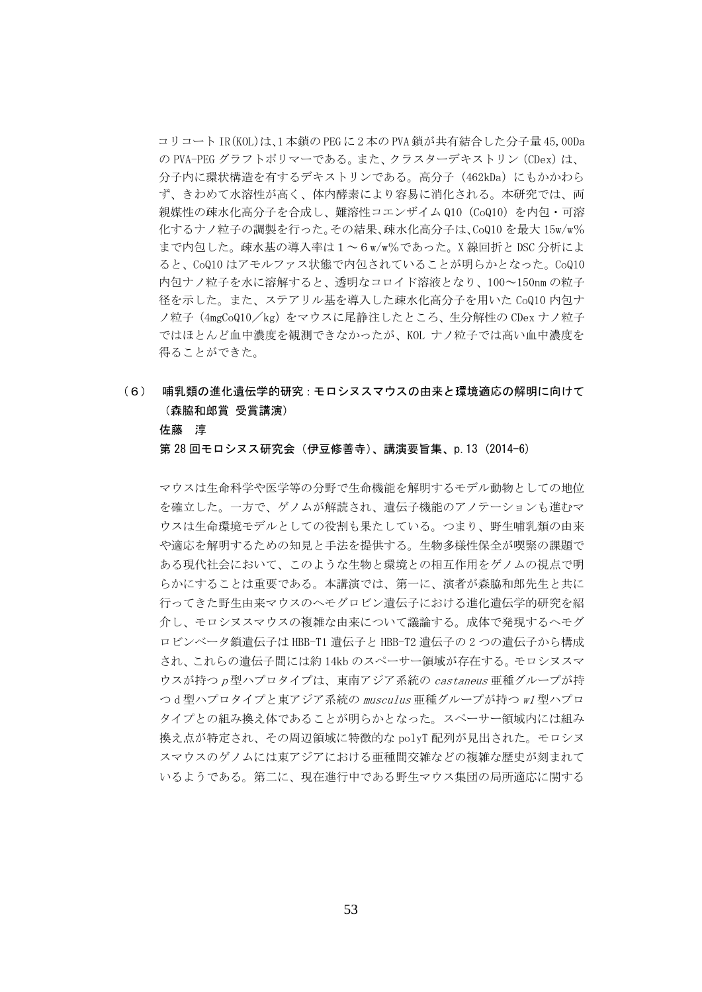コリコート IR(KOL)は、1 本鎖の PEG に 2 本の PVA 鎖が共有結合した分子量 45,00Da の PVA-PEG グラフトポリマーである。また、クラスターデキストリン(CDex)は、 分子内に環状構造を有するデキストリンである。高分子 (462kDa) にもかかわら ず、きわめて水溶性が高く、体内酵素により容易に消化される。本研究では、両 親媒性の疎水化高分子を合成し、難溶性コエンザイム Q10 (CoQ10) を内包・可溶 化するナノ粒子の調製を行った。その結果、疎水化高分子は、CoQ10 を最大 15w/w% まで内包した。疎水基の導入率は1~6w/w%であった。X 線回折と DSC 分析によ ると、CoQ10 はアモルファス状態で内包されていることが明らかとなった。CoQ10 内包ナノ粒子を水に溶解すると、透明なコロイド溶液となり、100~150nm の粒子 径を示した。また、ステアリル基を導入した疎水化高分子を用いた CoQ10 内包ナ ノ粒子(4mgCoQ10/kg)をマウスに尾静注したところ、生分解性の CDex ナノ粒子 ではほとんど血中濃度を観測できなかったが、KOL ナノ粒子では高い血中濃度を 得ることができた。

## (6) 哺乳類の進化遺伝学的研究:モロシヌスマウスの由来と環境適応の解明に向けて (森脇和郎賞 受賞講演)

#### 佐藤 淳

第 28 回モロシヌス研究会 (伊豆修善寺)、講演要旨集、p.13 (2014-6)

マウスは生命科学や医学等の分野で生命機能を解明するモデル動物としての地位 を確立した。一方で、ゲノムが解読され、遺伝子機能のアノテーションも進むマ ウスは生命環境モデルとしての役割も果たしている。つまり、野生哺乳類の由来 や適応を解明するための知見と手法を提供する。生物多様性保全が喫緊の課題で ある現代社会において、このような生物と環境との相互作用をゲノムの視点で明 らかにすることは重要である。本講演では、第一に、演者が森脇和郎先生と共に 行ってきた野生由来マウスのヘモグロビン遺伝子における進化遺伝学的研究を紹 介し、モロシヌスマウスの複雑な由来について議論する。成体で発現するヘモグ ロビンベータ鎖遺伝子は HBB-T1 遺伝子と HBB-T2 遺伝子の 2 つの遺伝子から構成 され、これらの遺伝子間には約 14kb のスペーサー領域が存在する。モロシヌスマ ウスが持つ <sup>p</sup> 型ハプロタイプは、東南アジア系統の castaneus 亜種グループが持 つ d 型ハプロタイプと東アジア系統の musculus 亜種グループが持つ w1 型ハプロ タイプとの組み換え体であることが明らかとなった。スペーサー領域内には組み 換え点が特定され、その周辺領域に特徴的な polyT 配列が見出された。モロシヌ スマウスのゲノムには東アジアにおける亜種間交雑などの複雑な歴史が刻まれて いるようである。第二に、現在進行中である野生マウス集団の局所適応に関する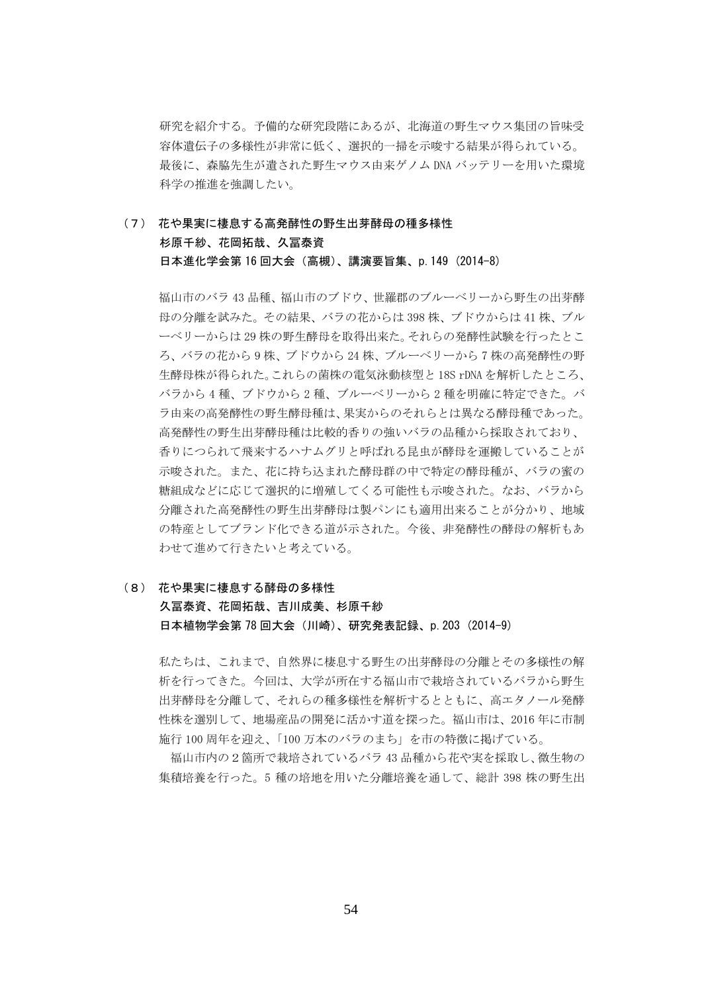研究を紹介する。予備的な研究段階にあるが、北海道の野生マウス集団の旨味受 容体遺伝子の多様性が非常に低く、選択的一掃を示唆する結果が得られている。 最後に、森脇先生が遺された野生マウス由来ゲノム DNA バッテリーを用いた環境 科学の推進を強調したい。

#### (7) 花や果実に棲息する高発酵性の野生出芽酵母の種多様性 杉原千紗、花岡拓哉、久冨泰資 日本進化学会第 16 回大会(高槻)、講演要旨集、p.149 (2014-8)

福山市のバラ 43 品種、福山市のブドウ、世羅郡のブルーベリーから野生の出芽酵 母の分離を試みた。その結果、バラの花からは 398 株、ブドウからは 41 株、ブル ーベリーからは 29 株の野生酵母を取得出来た。それらの発酵性試験を行ったとこ ろ、バラの花から 9 株、ブドウから 24 株、ブルーベリーから 7 株の高発酵性の野 生酵母株が得られた。これらの菌株の電気泳動核型と 18S rDNA を解析したところ、 バラから 4 種、ブドウから 2 種、ブルーベリーから 2 種を明確に特定できた。バ ラ由来の高発酵性の野生酵母種は、果実からのそれらとは異なる酵母種であった。 高発酵性の野生出芽酵母種は比較的香りの強いバラの品種から採取されており、 香りにつられて飛来するハナムグリと呼ばれる昆虫が酵母を運搬していることが 示唆された。また、花に持ち込まれた酵母群の中で特定の酵母種が、バラの蜜の 糖組成などに応じて選択的に増殖してくる可能性も示唆された。なお、バラから 分離された高発酵性の野生出芽酵母は製パンにも適用出来ることが分かり、地域 の特産としてブランド化できる道が示された。今後、非発酵性の酵母の解析もあ わせて進めて行きたいと考えている。

(8) 花や果実に棲息する酵母の多様性

#### 久冨泰資、花岡拓哉、吉川成美、杉原千紗 日本植物学会第 78 回大会(川崎)、研究発表記録、p.203 (2014-9)

私たちは、これまで、自然界に棲息する野生の出芽酵母の分離とその多様性の解 析を行ってきた。今回は、大学が所在する福山市で栽培されているバラから野生 出芽酵母を分離して、それらの種多様性を解析するとともに、高エタノール発酵 性株を選別して、地場産品の開発に活かす道を探った。福山市は、2016 年に市制 施行 100 周年を迎え、「100 万本のバラのまち」を市の特徴に掲げている。

福山市内の2箇所で栽培されているバラ 43 品種から花や実を採取し、微生物の 集積培養を行った。5 種の培地を用いた分離培養を通して、総計 398 株の野生出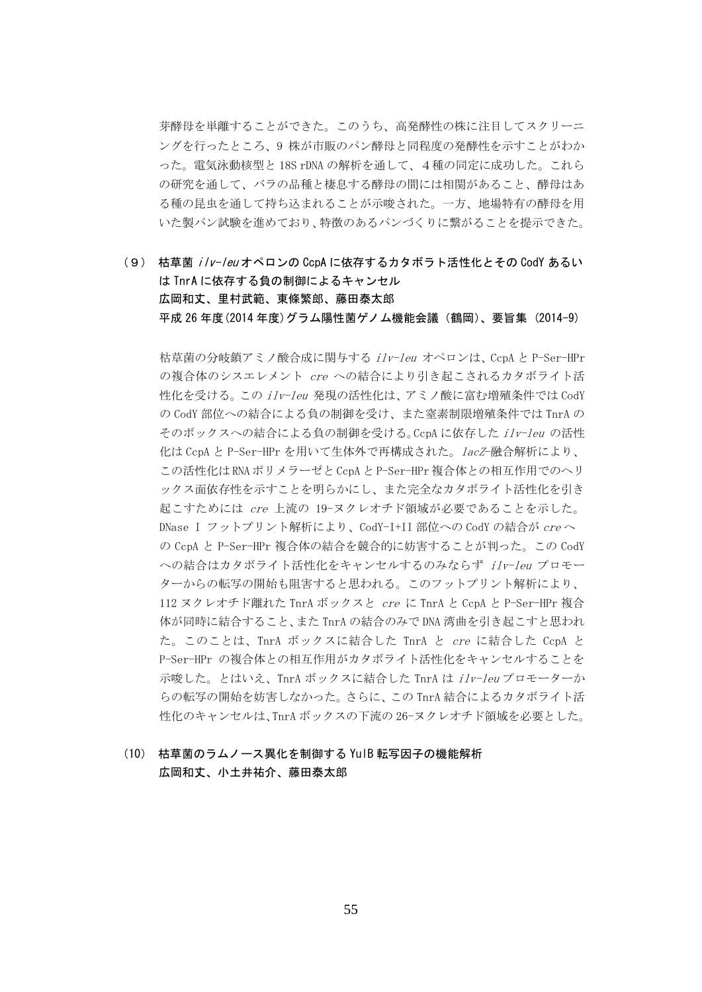芽酵母を単離することができた。このうち、高発酵性の株に注目してスクリーニ ングを行ったところ、9 株が市販のパン酵母と同程度の発酵性を示すことがわか った。電気泳動核型と 18S rDNA の解析を通して、4種の同定に成功した。これら の研究を通して、バラの品種と棲息する酵母の間には相関があること、酵母はあ る種の昆虫を通して持ち込まれることが示唆された。一方、地場特有の酵母を用 いた製パン試験を進めており、特徴のあるパンづくりに繋がることを提示できた。

(9) 枯草菌 ilv-leuオペロンの CcpA に依存するカタボラト活性化とその CodY あるい は TnrA に依存する負の制御によるキャンセル 広岡和丈、里村武範、東條繁郎、藤田泰太郎 平成 26 年度(2014 年度)グラム陽性菌ゲノム機能会議(鶴岡)、要旨集 (2014-9)

枯草菌の分岐鎖アミノ酸合成に関与する ilv-leu オペロンは、CcpA と P-Ser-HPr の複合体のシスエレメント cre への結合により引き起こされるカタボライト活 性化を受ける。この ilv-leu 発現の活性化は、アミノ酸に富む増殖条件では CodY の CodY 部位への結合による負の制御を受け、また窒素制限増殖条件では TnrA の そのボックスへの結合による負の制御を受ける。CcpA に依存した ilv-leu の活性 化は CcpA と P-Ser-HPr を用いて生体外で再構成された。lacZ-融合解析により、 この活性化は RNA ポリメラーゼと CcpA と P-Ser-HPr 複合体との相互作用でのヘリ ックス面依存性を示すことを明らかにし、また完全なカタボライト活性化を引き 起こすためには cre 上流の 19-ヌクレオチド領域が必要であることを示した。 DNase I フットプリント解析により、CodY-I+II 部位への CodY の結合が creへ の CcpA と P-Ser-HPr 複合体の結合を競合的に妨害することが判った。この CodY への結合はカタボライト活性化をキャンセルするのみならず ilv-leu プロモー ターからの転写の開始も阻害すると思われる。このフットプリント解析により、 112 ヌクレオチド離れた TnrA ボックスと cre に TnrA と CcpA と P-Ser-HPr 複合 体が同時に結合すること、また TnrA の結合のみで DNA 湾曲を引き起こすと思われ た。このことは、TnrA ボックスに結合した TnrA と cre に結合した CcpA と P-Ser-HPr の複合体との相互作用がカタボライト活性化をキャンセルすることを 示唆した。とはいえ、TnrA ボックスに結合した TnrA は ilv-leu プロモーターか らの転写の開始を妨害しなかった。さらに、この TnrA 結合によるカタボライト活 性化のキャンセルは、TnrA ボックスの下流の 26-ヌクレオチド領域を必要とした。

#### (10) 枯草菌のラムノース異化を制御する YulB 転写因子の機能解析 広岡和丈、小土井祐介、藤田泰太郎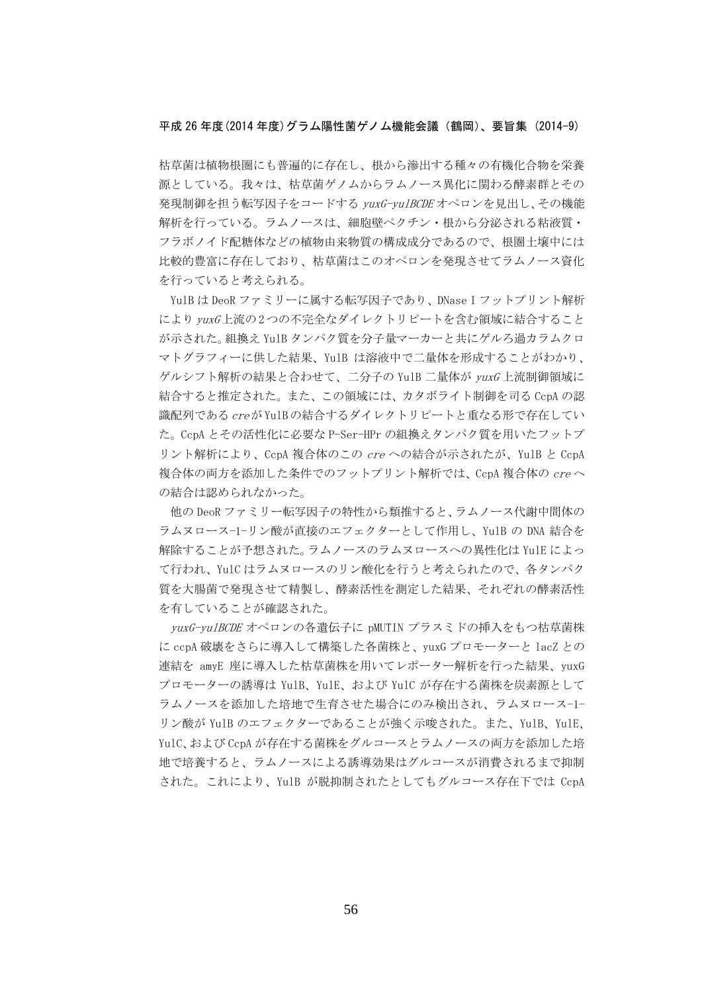#### 平成 26 年度(2014 年度)グラム陽性菌ゲノム機能会議(鶴岡)、要旨集 (2014-9)

枯草菌は植物根圏にも普遍的に存在し、根から滲出する種々の有機化合物を栄養 源としている。我々は、枯草菌ゲノムからラムノース異化に関わる酵素群とその 発現制御を担う転写因子をコードする vuxG-vulBCDE オペロンを見出し、その機能 解析を行っている。ラムノースは、細胞壁ペクチン・根から分泌される粘液質・ フラボノイド配糖体などの植物由来物質の構成成分であるので、根圏土壌中には 比較的豊富に存在しており、枯草菌はこのオペロンを発現させてラムノース資化 を行っていると考えられる。

YulB は DeoR ファミリーに属する転写因子であり、DNase I フットプリント解析 により vuxG上流の2つの不完全なダイレクトリピートを含む領域に結合すること が示された。組換え YulB タンパク質を分子量マーカーと共にゲルろ過カラムクロ マトグラフィーに供した結果、YulB は溶液中で二量体を形成することがわかり、 ゲルシフト解析の結果と合わせて、二分子の YulB 二量体が yuxG 上流制御領域に 結合すると推定された。また、この領域には、カタボライト制御を司る CcpA の認 識配列である creが YulBの結合するダイレクトリピートと重なる形で存在してい た。CcpA とその活性化に必要な P-Ser-HPr の組換えタンパク質を用いたフットプ リント解析により、CcpA 複合体のこの cre への結合が示されたが、YulB と CcpA 複合体の両方を添加した条件でのフットプリント解析では、CcpA 複合体の cre へ の結合は認められなかった。

他の DeoR ファミリー転写因子の特性から類推すると、ラムノース代謝中間体の ラムヌロース-1-リン酸が直接のエフェクターとして作用し、YulB の DNA 結合を 解除することが予想された。ラムノースのラムヌロースへの異性化は YulE によっ て行われ、YulC はラムヌロースのリン酸化を行うと考えられたので、各タンパク 質を大腸菌で発現させて精製し、酵素活性を測定した結果、それぞれの酵素活性 を有していることが確認された。

yuxG-yulBCDE オペロンの各遺伝子に pMUTIN プラスミドの挿入をもつ枯草菌株 に ccpA 破壊をさらに導入して構築した各菌株と、yuxG プロモーターと lacZ との 連結を amyE 座に導入した枯草菌株を用いてレポーター解析を行った結果、yuxG プロモーターの誘導は YulB、YulE、および YulC が存在する菌株を炭素源として ラムノースを添加した培地で生育させた場合にのみ検出され、ラムヌロース-1- リン酸が YulB のエフェクターであることが強く示唆された。また、YulB、YulE、 YulC、および CcpA が存在する菌株をグルコースとラムノースの両方を添加した培 地で培養すると、ラムノースによる誘導効果はグルコースが消費されるまで抑制 された。これにより、YulB が脱抑制されたとしてもグルコース存在下では CcpA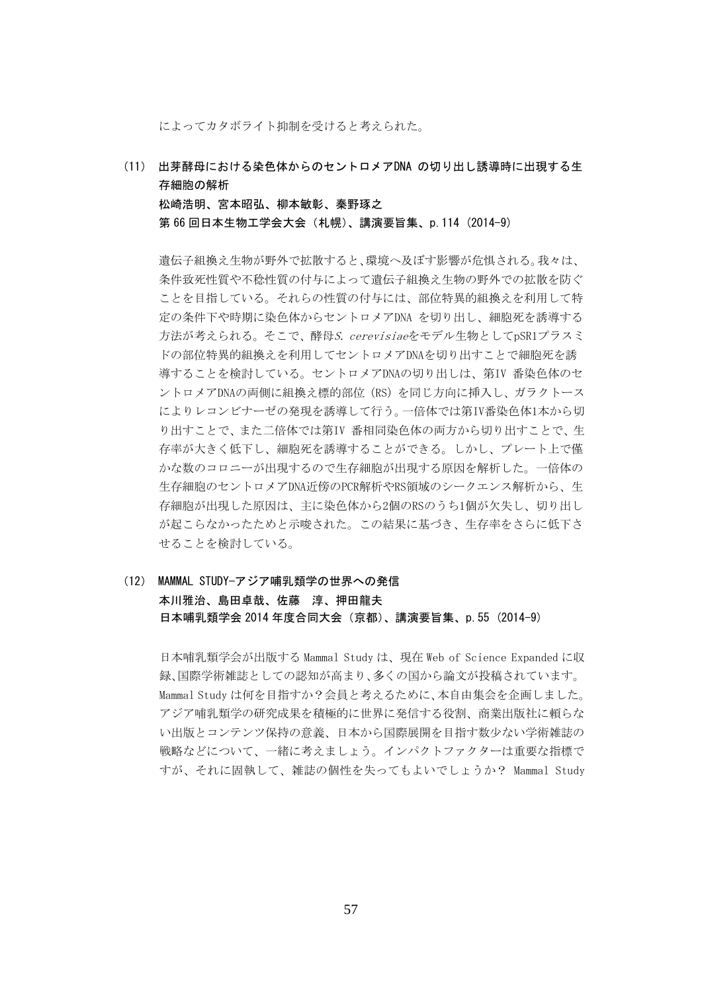によってカタボライト抑制を受けると考えられた。

(11) 出芽酵母における染色体からのセントロメアDNA の切り出し誘導時に出現する生 存細胞の解析

松崎浩明、宮本昭弘、柳本敏彰、秦野琢之 第 66 回日本生物工学会大会 (札幌)、講演要旨集、p. 114 (2014-9)

遺伝子組換え生物が野外で拡散すると、環境へ及ぼす影響が危惧される。我々は、 条件致死性質や不稔性質の付与によって遺伝子組換え生物の野外での拡散を防ぐ ことを目指している。それらの性質の付与には、部位特異的組換えを利用して特 定の条件下や時期に染色体からセントロメアDNA を切り出し、細胞死を誘導する 方法が考えられる。そこで、酵母S. cerevisiaeをモデル生物としてpSR1プラスミ ドの部位特異的組換えを利用してセントロメアDNAを切り出すことで細胞死を誘 導することを検討している。セントロメアDNAの切り出しは、第IV 番染色体のセ ントロメアDNAの両側に組換え標的部位(RS)を同じ方向に挿入し、ガラクトース によりレコンビナーゼの発現を誘導して行う。一倍体では第IV番染色体1本から切 り出すことで、また二倍体では第IV 番相同染色体の両方から切り出すことで、生 存率が大きく低下し、細胞死を誘導することができる。しかし、プレート上で僅 かな数のコロニーが出現するので生存細胞が出現する原因を解析した。一倍体の 生存細胞のセントロメアDNA近傍のPCR解析やRS領域のシークエンス解析から、生 存細胞が出現した原因は、主に染色体から2個のRSのうち1個が欠失し、切り出し が起こらなかったためと示唆された。この結果に基づき、生存率をさらに低下さ せることを検討している。

(12) MAMMAL STUDY—アジア哺乳類学の世界への発信 本川雅治、島田卓哉、佐藤 淳、押田龍夫 日本哺乳類学会 2014 年度合同大会(京都)、講演要旨集、p.55 (2014-9)

日本哺乳類学会が出版する Mammal Study は、現在 Web of Science Expanded に収 録、国際学術雑誌としての認知が高まり、多くの国から論文が投稿されています。 Mammal Study は何を目指すか?会員と考えるために、本自由集会を企画しました。 アジア哺乳類学の研究成果を積極的に世界に発信する役割、商業出版社に頼らな い出版とコンテンツ保持の意義、日本から国際展開を目指す数少ない学術雑誌の 戦略などについて、一緒に考えましょう。インパクトファクターは重要な指標で すが、それに固執して、雑誌の個性を失ってもよいでしょうか? Mammal Study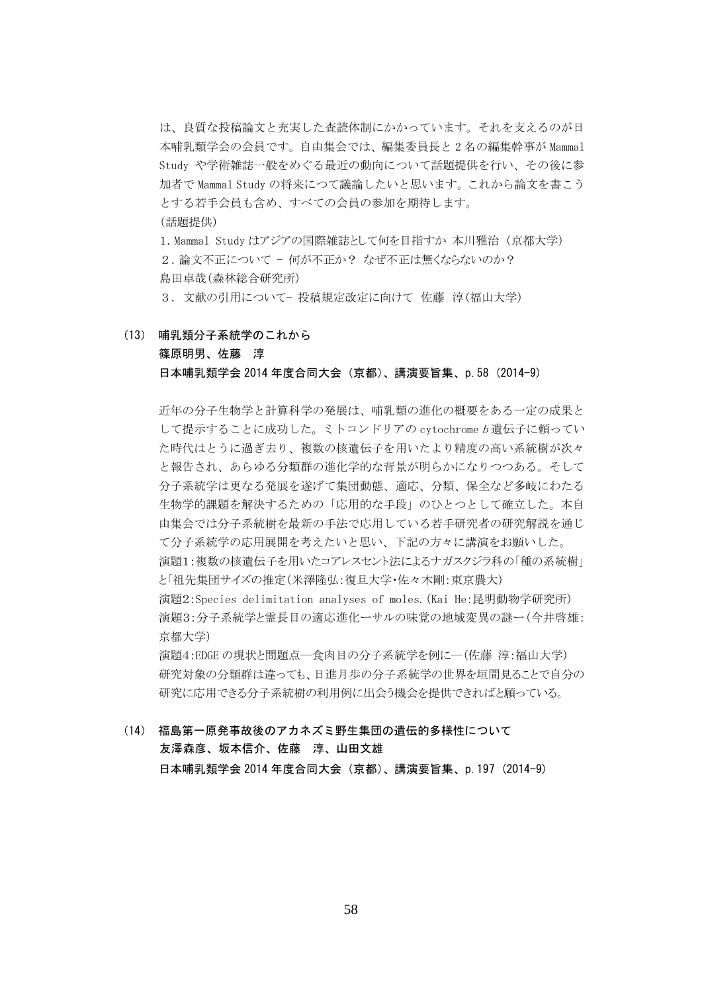は、良質な投稿論文と充実した査読体制にかかっています。それを支えるのが日 本哺乳類学会の会員です。自由集会では、編集委員長と 2 名の編集幹事が Mammal Study や学術雑誌一般をめぐる最近の動向について話題提供を行い、その後に参 加者で Mammal Study の将来につて議論したいと思います。これから論文を書こう とする若手会員も含め、すべての会員の参加を期待します。 (話題提供)

1.Mammal Study はアジアの国際雑誌として何を目指すか 本川雅治 (京都大学) 2. 論文不正について − 何が不正か? なぜ不正は無くならないのか? 島田卓哉(森林総合研究所)

3.文献の引用について− 投稿規定改定に向けて 佐藤 淳(福山大学)

(13) 哺乳類分子系統学のこれから

#### 篠原明男、佐藤 淳 日本哺乳類学会 2014 年度合同大会(京都)、講演要旨集、p.58 (2014-9)

近年の分子生物学と計算科学の発展は、哺乳類の進化の概要をある一定の成果と して提示することに成功した。ミトコンドリアの cytochrome <sup>b</sup> 遺伝子に頼ってい た時代はとうに過ぎ去り、複数の核遺伝子を用いたより精度の高い系統樹が次々 と報告され、あらゆる分類群の進化学的な背景が明らかになりつつある。そして 分子系統学は更なる発展を遂げて集団動態、適応、分類、保全など多岐にわたる 生物学的課題を解決するための「応用的な手段」のひとつとして確立した。本自 由集会では分子系統樹を最新の手法で応用している若手研究者の研究解説を通じ て分子系統学の応用展開を考えたいと思い、下記の方々に講演をお願いした。 演題1:複数の核遺伝子を用いたコアレスセント法によるナガスクジラ科の「種の系統樹」 と「祖先集団サイズの推定(米澤隆弘:復旦大学・佐々木剛:東京農大) 演題2:Species delimitation analyses of moles.(Kai He:昆明動物学研究所) 演題3:分子系統学と霊長目の適応進化ーサルの味覚の地域変異の謎ー(今井啓雄: 京都大学)

演題4:EDGE の現状と問題点―食肉目の分子系統学を例に―(佐藤 淳:福山大学) 研究対象の分類群は違っても、日進月歩の分子系統学の世界を垣間見ることで自分の 研究に応用できる分子系統樹の利用例に出会う機会を提供できればと願っている。

(14) 福島第一原発事故後のアカネズミ野生集団の遺伝的多様性について 友澤森彦、坂本信介、佐藤 淳、山田文雄 日本哺乳類学会 2014 年度合同大会(京都)、講演要旨集、p.197 (2014-9)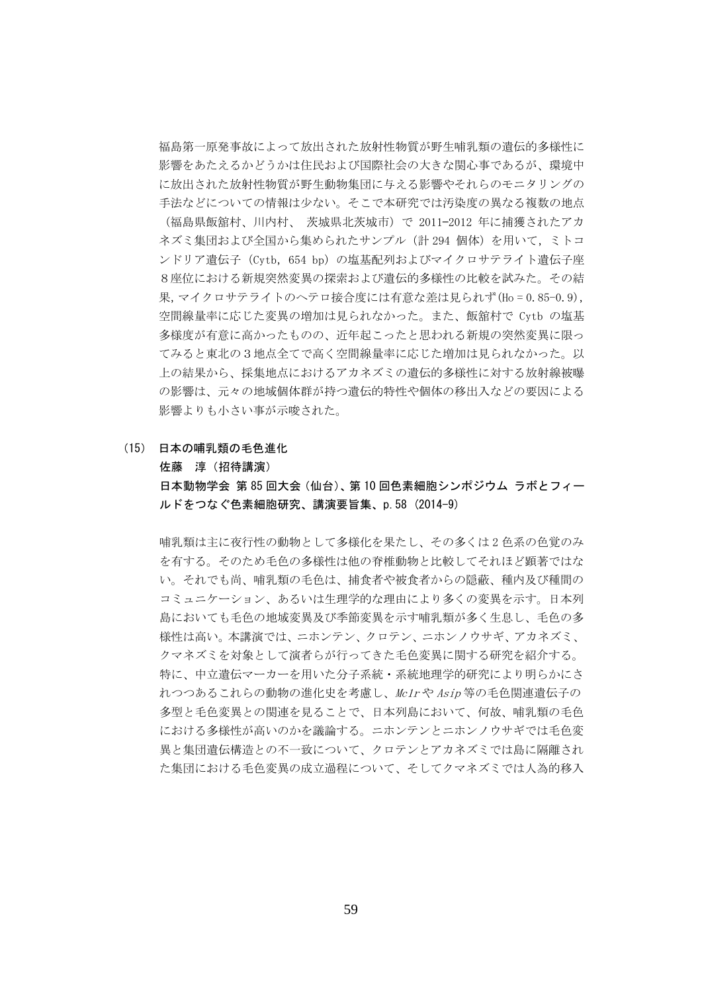福島第一原発事故によって放出された放射性物質が野生哺乳類の遺伝的多様性に 影響をあたえるかどうかは住民および国際社会の大きな関心事であるが、環境中 に放出された放射性物質が野生動物集団に与える影響やそれらのモニタリングの 手法などについての情報は少ない。そこで本研究では汚染度の異なる複数の地点 (福島県飯舘村、川内村、 茨城県北茨城市)で 2011—2012 年に捕獲されたアカ ネズミ集団および全国から集められたサンプル(計 294 個体)を用いて,ミトコ ンドリア遺伝子 (Cytb, 654 bp) の塩基配列およびマイクロサテライト遺伝子座 8座位における新規突然変異の探索および遺伝的多様性の比較を試みた。その結 果,マイクロサテライトのヘテロ接合度には有意な差は見られず(Ho = 0.85-0.9), 空間線量率に応じた変異の増加は見られなかった。また、飯舘村で Cytb の塩基 多様度が有意に高かったものの、近年起こったと思われる新規の突然変異に限っ てみると東北の3地点全てで高く空間線量率に応じた増加は見られなかった。以 上の結果から、採集地点におけるアカネズミの遺伝的多様性に対する放射線被曝 の影響は、元々の地域個体群が持つ遺伝的特性や個体の移出入などの要因による 影響よりも小さい事が示唆された。

#### (15) 日本の哺乳類の毛色進化

佐藤 淳(招待講演)

日本動物学会 第 85 回大会(仙台)、第 10 回色素細胞シンポジウム ラボとフィー ルドをつなぐ色素細胞研究、講演要旨集、p.58 (2014-9)

哺乳類は主に夜行性の動物として多様化を果たし、その多くは 2 色系の色覚のみ を有する。そのため毛色の多様性は他の脊椎動物と比較してそれほど顕著ではな い。それでも尚、哺乳類の毛色は、捕食者や被食者からの隠蔽、種内及び種間の コミュニケーション、あるいは生理学的な理由により多くの変異を示す。日本列 島においても毛色の地域変異及び季節変異を示す哺乳類が多く生息し、毛色の多 様性は高い。本講演では、ニホンテン、クロテン、ニホンノウサギ、アカネズミ、 クマネズミを対象として演者らが行ってきた毛色変異に関する研究を紹介する。 特に、中立遺伝マーカーを用いた分子系統・系統地理学的研究により明らかにさ れつつあるこれらの動物の進化史を考慮し、Mc1r や Asip 等の毛色関連遺伝子の 多型と毛色変異との関連を見ることで、日本列島において、何故、哺乳類の毛色 における多様性が高いのかを議論する。ニホンテンとニホンノウサギでは毛色変 異と集団遺伝構造との不一致について、クロテンとアカネズミでは島に隔離され た集団における毛色変異の成立過程について、そしてクマネズミでは人為的移入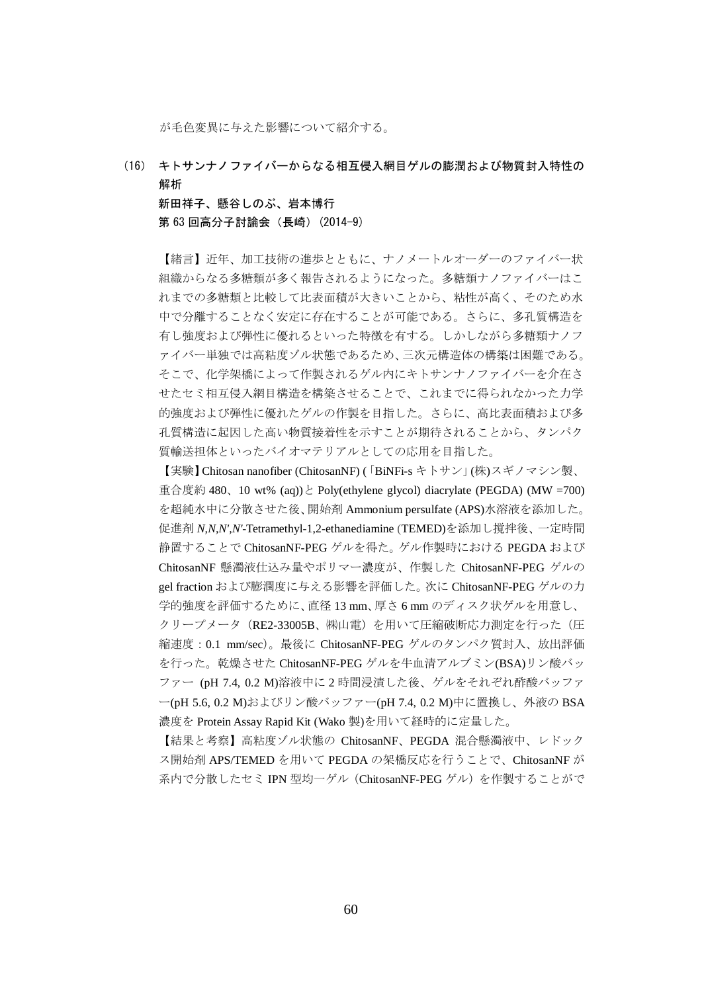が毛色変異に与えた影響について紹介する。

(16) キトサンナノファイバーからなる相互侵入網目ゲルの膨潤および物質封入特性の 解析

 新田祥子、懸谷しのぶ、岩本博行 第 63 回高分子討論会 (長崎) (2014-9)

【緒言】近年、加工技術の進歩とともに、ナノメートルオーダーのファイバー状 組織からなる多糖類が多く報告されるようになった。多糖類ナノファイバーはこ れまでの多糖類と比較して比表面積が大きいことから、粘性が高く、そのため水 中で分離することなく安定に存在することが可能である。さらに、多孔質構造を 有し強度および弾性に優れるといった特徴を有する。しかしながら多糖類ナノフ ァイバー単独では高粘度ゾル状態であるため、三次元構造体の構築は困難である。 そこで、化学架橋によって作製されるゲル内にキトサンナノファイバーを介在さ せたセミ相互侵入網目構造を構築させることで、これまでに得られなかった力学 的強度および弾性に優れたゲルの作製を目指した。さらに、高比表面積および多 孔質構造に起因した高い物質接着性を示すことが期待されることから、タンパク 質輸送担体といったバイオマテリアルとしての応用を目指した。

【実験】Chitosan nanofiber (ChitosanNF) (「BiNFi-s キトサン」(株)スギノマシン製、 重合度約 480、10 wt% (aq))と Poly(ethylene glycol) diacrylate (PEGDA) (MW =700) を超純水中に分散させた後、開始剤 Ammonium persulfate (APS)水溶液を添加した。 促進剤 *N,N,N',N'*-Tetramethyl-1,2-ethanediamine (TEMED)を添加し撹拌後、一定時間 静置することで ChitosanNF-PEG ゲルを得た。ゲル作製時における PEGDA および ChitosanNF 懸濁液仕込み量やポリマー濃度が、作製した ChitosanNF-PEG ゲルの gel fraction および膨潤度に与える影響を評価した。次に ChitosanNF-PEG ゲルの力 学的強度を評価するために、直径 13 mm、厚さ 6 mm のディスク状ゲルを用意し、 クリープメータ (RE2-33005B、㈱山電)を用いて圧縮破断応力測定を行った (圧 縮速度:0.1 mm/sec)。最後に ChitosanNF-PEG ゲルのタンパク質封入、放出評価 を行った。乾燥させた ChitosanNF-PEG ゲルを牛血清アルブミン(BSA)リン酸バッ ファー (pH 7.4, 0.2 M)溶液中に 2 時間浸漬した後、ゲルをそれぞれ酢酸バッファ ー(pH 5.6, 0.2 M)およびリン酸バッファー(pH 7.4, 0.2 M)中に置換し、外液の BSA 濃度を Protein Assay Rapid Kit (Wako 製)を用いて経時的に定量した。

【結果と考察】高粘度ゾル状態の ChitosanNF、PEGDA 混合懸濁液中、レドック ス開始剤 APS/TEMED を用いて PEGDA の架橋反応を行うことで、ChitosanNF が 系内で分散したセミ IPN 型均一ゲル (ChitosanNF-PEG ゲル)を作製することがで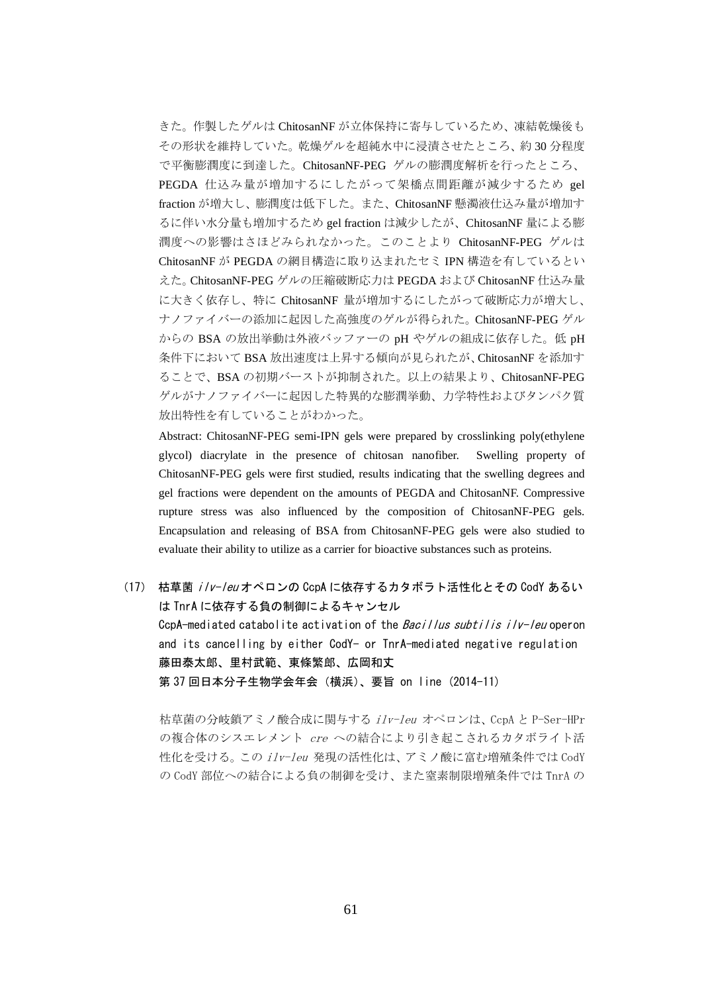きた。作製したゲルは ChitosanNF が立体保持に寄与しているため、凍結乾燥後も その形状を維持していた。乾燥ゲルを超純水中に浸漬させたところ、約 30 分程度 で平衡膨潤度に到達した。ChitosanNF-PEG ゲルの膨潤度解析を行ったところ、 PEGDA 仕込み量が増加するにしたがって架橋点間距離が減少するため gel fraction が増大し、膨潤度は低下した。また、ChitosanNF 懸濁液仕込み量が増加す るに伴い水分量も増加するため gel fraction は減少したが、ChitosanNF 量による膨 潤度への影響はさほどみられなかった。このことより ChitosanNF-PEG ゲルは ChitosanNF が PEGDA の網目構造に取り込まれたセミ IPN 構造を有しているとい えた。ChitosanNF-PEG ゲルの圧縮破断応力は PEGDA および ChitosanNF 仕込み量 に大きく依存し、特に ChitosanNF 量が増加するにしたがって破断応力が増大し、 ナノファイバーの添加に起因した高強度のゲルが得られた。ChitosanNF-PEG ゲル からの BSA の放出挙動は外液バッファーの pH やゲルの組成に依存した。低 pH 条件下において BSA 放出速度は上昇する傾向が見られたが、ChitosanNF を添加す ることで、BSA の初期バーストが抑制された。以上の結果より、ChitosanNF-PEG ゲルがナノファイバーに起因した特異的な膨潤挙動、力学特性およびタンパク質 放出特性を有していることがわかった。

Abstract: ChitosanNF-PEG semi-IPN gels were prepared by crosslinking poly(ethylene glycol) diacrylate in the presence of chitosan nanofiber. Swelling property of ChitosanNF-PEG gels were first studied, results indicating that the swelling degrees and gel fractions were dependent on the amounts of PEGDA and ChitosanNF. Compressive rupture stress was also influenced by the composition of ChitosanNF-PEG gels. Encapsulation and releasing of BSA from ChitosanNF-PEG gels were also studied to evaluate their ability to utilize as a carrier for bioactive substances such as proteins.

(17) 枯草菌 ilv-leu オペロンの CcpA に依存するカタボラト活性化とその CodY あるい は TnrA に依存する負の制御によるキャンセル CcpA-mediated catabolite activation of the Bacillus subtilis ilv-leu operon and its cancelling by either CodY- or TnrA-mediated negative regulation 藤田泰太郎、里村武範、東條繁郎、広岡和丈 第 37 回日本分子生物学会年会(横浜)、要旨 on line (2014-11)

枯草菌の分岐鎖アミノ酸合成に関与する ilv-leu オペロンは、CcpA と P-Ser-HPr の複合体のシスエレメント cre への結合により引き起こされるカタボライト活 性化を受ける。この ilv-leu 発現の活性化は、アミノ酸に富む増殖条件では CodY の CodY 部位への結合による負の制御を受け、また窒素制限増殖条件では TnrA の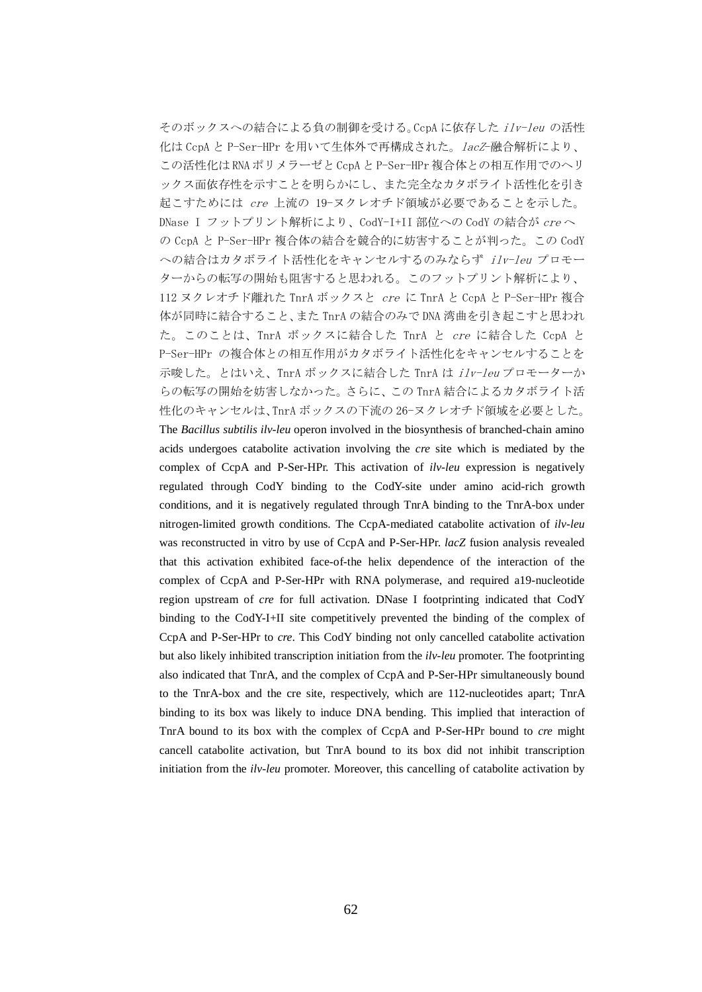そのボックスへの結合による負の制御を受ける。CcpA に依存した ilv-leu の活性 化は CcpA と P-Ser-HPr を用いて生体外で再構成された。lacZ-融合解析により、 この活性化は RNA ポリメラーゼと CcpA と P-Ser-HPr 複合体との相互作用でのヘリ ックス面依存性を示すことを明らかにし、また完全なカタボライト活性化を引き 起こすためには cre 上流の 19-ヌクレオチド領域が必要であることを示した。 DNase I フットプリント解析により、CodY-I+II 部位への CodY の結合が creへ の CcpA と P-Ser-HPr 複合体の結合を競合的に妨害することが判った。この CodY への結合はカタボライト活性化をキャンセルするのみならず ilv-leu プロモー ターからの転写の開始も阻害すると思われる。このフットプリント解析により、 112 ヌクレオチド離れた TnrA ボックスと cre に TnrA と CcpA と P-Ser-HPr 複合 体が同時に結合すること、また TnrA の結合のみで DNA 湾曲を引き起こすと思われ た。このことは、TnrA ボックスに結合した TnrA と cre に結合した CcpA と P-Ser-HPr の複合体との相互作用がカタボライト活性化をキャンセルすることを 示唆した。とはいえ、TnrA ボックスに結合した TnrA は ilv-leu プロモーターか らの転写の開始を妨害しなかった。さらに、この TnrA 結合によるカタボライト活 性化のキャンセルは、TnrA ボックスの下流の 26-ヌクレオチド領域を必要とした。 The *Bacillus subtilis ilv-leu* operon involved in the biosynthesis of branched-chain amino acids undergoes catabolite activation involving the *cre* site which is mediated by the complex of CcpA and P-Ser-HPr. This activation of *ilv-leu* expression is negatively regulated through CodY binding to the CodY-site under amino acid-rich growth conditions, and it is negatively regulated through TnrA binding to the TnrA-box under nitrogen-limited growth conditions. The CcpA-mediated catabolite activation of *ilv-leu* was reconstructed in vitro by use of CcpA and P-Ser-HPr. *lacZ* fusion analysis revealed that this activation exhibited face-of-the helix dependence of the interaction of the complex of CcpA and P-Ser-HPr with RNA polymerase, and required a19-nucleotide region upstream of *cre* for full activation. DNase I footprinting indicated that CodY binding to the CodY-I+II site competitively prevented the binding of the complex of CcpA and P-Ser-HPr to *cre*. This CodY binding not only cancelled catabolite activation but also likely inhibited transcription initiation from the *ilv-leu* promoter. The footprinting also indicated that TnrA, and the complex of CcpA and P-Ser-HPr simultaneously bound to the TnrA-box and the cre site, respectively, which are 112-nucleotides apart; TnrA binding to its box was likely to induce DNA bending. This implied that interaction of TnrA bound to its box with the complex of CcpA and P-Ser-HPr bound to *cre* might cancell catabolite activation, but TnrA bound to its box did not inhibit transcription initiation from the *ilv-leu* promoter. Moreover, this cancelling of catabolite activation by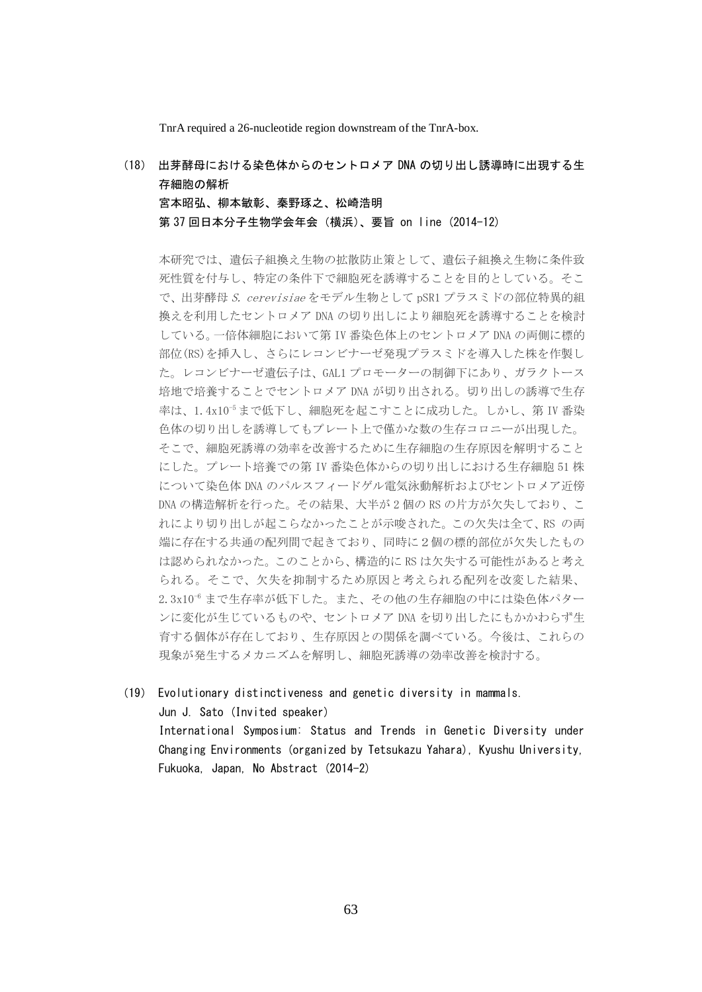TnrA required a 26-nucleotide region downstream of the TnrA-box.

(18) 出芽酵母における染色体からのセントロメア DNA の切り出し誘導時に出現する生 存細胞の解析 宮本昭弘、柳本敏彰、秦野琢之、松崎浩明

第 37 回日本分子生物学会年会(横浜)、要旨 on line (2014-12)

本研究では、遺伝子組換え生物の拡散防止策として、遺伝子組換え生物に条件致 死性質を付与し、特定の条件下で細胞死を誘導することを目的としている。そこ で、出芽酵母 S. cerevisiae をモデル生物として pSR1 プラスミドの部位特異的組 換えを利用したセントロメア DNA の切り出しにより細胞死を誘導することを検討 している。一倍体細胞において第 IV 番染色体上のセントロメア DNA の両側に標的 部位(RS)を挿入し、さらにレコンビナーゼ発現プラスミドを導入した株を作製し た。レコンビナーゼ遺伝子は、GAL1 プロモーターの制御下にあり、ガラクトース 培地で培養することでセントロメア DNA が切り出される。切り出しの誘導で生存 率は、1.4x10<sup>-5</sup>まで低下し、細胞死を起こすことに成功した。しかし、第 IV 番染 色体の切り出しを誘導してもプレート上で僅かな数の生存コロニーが出現した。 そこで、細胞死誘導の効率を改善するために生存細胞の生存原因を解明すること にした。プレート培養での第 IV 番染色体からの切り出しにおける生存細胞 51 株 について染色体 DNA のパルスフィードゲル電気泳動解析およびセントロメア近傍 DNA の構造解析を行った。その結果、大半が 2 個の RS の片方が欠失しており、こ れにより切り出しが起こらなかったことが示唆された。この欠失は全て、RS の両 端に存在する共通の配列間で起きており、同時に2個の標的部位が欠失したもの は認められなかった。このことから、構造的に RS は欠失する可能性があると考え られる。そこで、欠失を抑制するため原因と考えられる配列を改変した結果、 2.3x10<sup>-6</sup> まで生存率が低下した。また、その他の生存細胞の中には染色体パター ンに変化が生じているものや、セントロメア DNA を切り出したにもかかわらず生 育する個体が存在しており、生存原因との関係を調べている。今後は、これらの 現象が発生するメカニズムを解明し、細胞死誘導の効率改善を検討する。

(19) Evolutionary distinctiveness and genetic diversity in mammals. Jun J. Sato (Invited speaker) International Symposium: Status and Trends in Genetic Diversity under Changing Environments (organized by Tetsukazu Yahara), Kyushu University, Fukuoka, Japan, No Abstract (2014-2)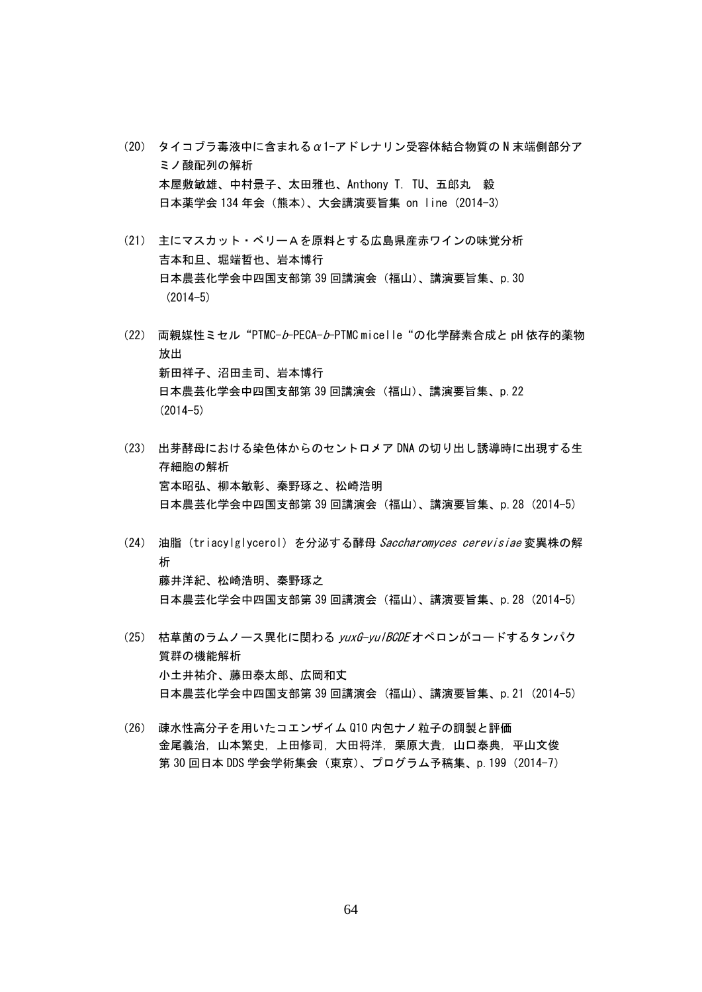- (20) タイコブラ毒液中に含まれるα1-アドレナリン受容体結合物質の N 末端側部分ア ミノ酸配列の解析 本屋敷敏雄、中村景子、太田雅也、Anthony T. TU、五郎丸 毅 日本薬学会 134 年会(熊本)、大会講演要旨集 on line (2014-3)
- (21) 主にマスカット・ベリーAを原料とする広島県産赤ワインの味覚分析 吉本和旦、堀端哲也、岩本博行 日本農芸化学会中四国支部第 39 回講演会(福山)、講演要旨集、p.30 (2014-5)
- (22) 両親媒性ミセル"PTMC-b-PECA-b-PTMC micelle"の化学酵素合成と pH 依存的薬物 放出 新田祥子、沼田圭司、岩本博行 日本農芸化学会中四国支部第 39 回講演会(福山)、講演要旨集、p.22  $(2014 - 5)$
- (23) 出芽酵母における染色体からのセントロメア DNA の切り出し誘導時に出現する生 存細胞の解析 宮本昭弘、柳本敏彰、秦野琢之、松崎浩明 日本農芸化学会中四国支部第 39 回講演会(福山)、講演要旨集、p.28 (2014-5)
- (24) 油脂 (triacylglycerol) を分泌する酵母 Saccharomyces cerevisiae 変異株の解 析 藤井洋紀、松崎浩明、秦野琢之 日本農芸化学会中四国支部第 39 回講演会(福山)、講演要旨集、p.28 (2014-5)
- (25) 枯草菌のラムノース異化に関わる yuxG-yulBCDE オペロンがコードするタンパク 質群の機能解析 小土井祐介、藤田泰太郎、広岡和丈 日本農芸化学会中四国支部第 39 回講演会 (福山)、講演要旨集、p.21 (2014-5)
- (26) 疎水性高分子を用いたコエンザイム Q10 内包ナノ粒子の調製と評価 金尾義治,山本繁史,上田修司,大田将洋,栗原大貴,山口泰典,平山文俊 第 30 回日本 DDS 学会学術集会 (東京)、プログラム予稿集、p.199 (2014-7)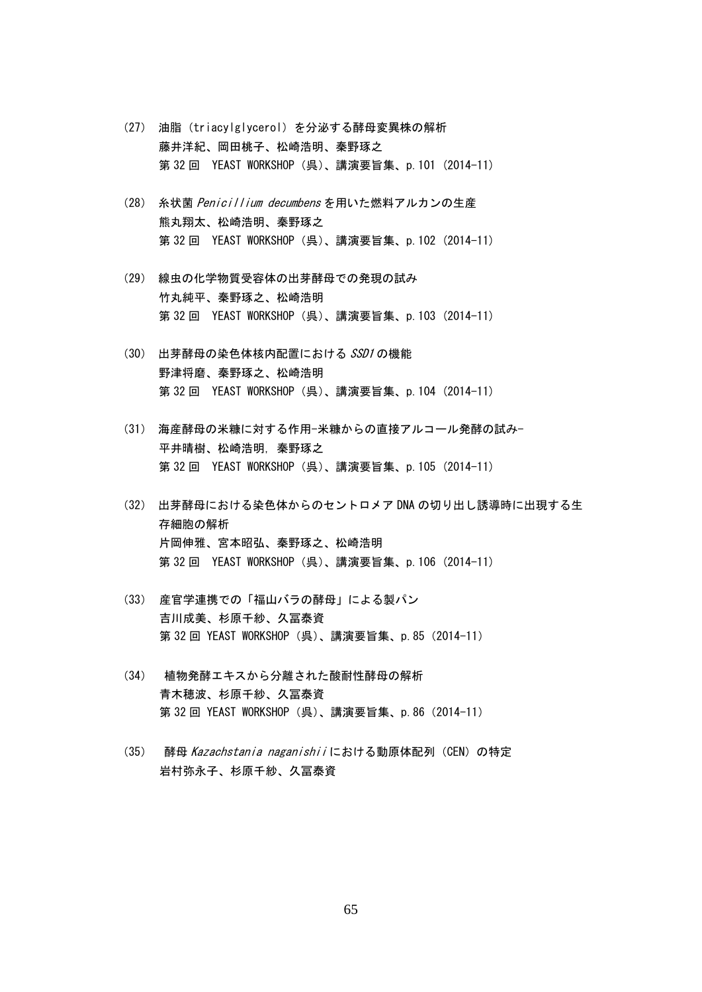- (27) 油脂(triacylglycerol)を分泌する酵母変異株の解析 藤井洋紀、岡田桃子、松崎浩明、秦野琢之 第 32 回 YEAST WORKSHOP (呉)、講演要旨集、p.101 (2014-11)
- (28) 糸状菌 Penicillium decumbens を用いた燃料アルカンの生産 熊丸翔太、松崎浩明、秦野琢之 第 32 回 YEAST WORKSHOP (呉)、講演要旨集、p.102 (2014-11)
- (29) 線虫の化学物質受容体の出芽酵母での発現の試み 竹丸純平、秦野琢之、松崎浩明 第 32 回 YEAST WORKSHOP (呉)、講演要旨集、p.103 (2014-11)
- (30) 出芽酵母の染色体核内配置における SSD1 の機能 野津将磨、秦野琢之、松崎浩明 第 32 回 YEAST WORKSHOP (呉)、講演要旨集、p.104 (2014-11)
- (31) 海産酵母の米糠に対する作用-米糠からの直接アルコール発酵の試み-平井晴樹、松崎浩明,秦野琢之 第 32 回 YEAST WORKSHOP (呉)、講演要旨集、p.105 (2014-11)
- (32) 出芽酵母における染色体からのセントロメア DNA の切り出し誘導時に出現する生 存細胞の解析 片岡伸雅、宮本昭弘、秦野琢之、松崎浩明 第 32 回 YEAST WORKSHOP (呉)、講演要旨集、p.106 (2014-11)
- (33) 産官学連携での「福山バラの酵母」による製パン 吉川成美、杉原千紗、久冨泰資 第 32 回 YEAST WORKSHOP (呉)、講演要旨集、p.85 (2014-11)
- (34) 植物発酵エキスから分離された酸耐性酵母の解析 青木穂波、杉原千紗、久冨泰資 第 32 回 YEAST WORKSHOP (呉)、講演要旨集、p.86 (2014-11)
- (35) 酵母 Kazachstania naganishiiにおける動原体配列 (CEN) の特定 岩村弥永子、杉原千紗、久冨泰資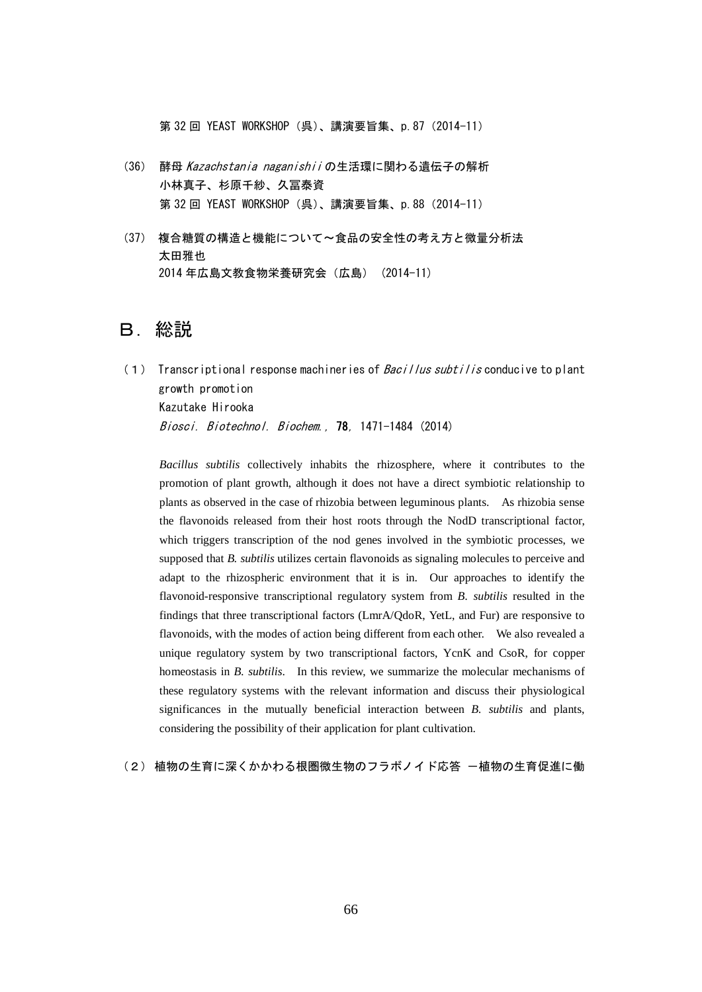第 32 回 YEAST WORKSHOP (呉)、講演要旨集、p.87 (2014-11)

- (36) 酵母 Kazachstania naganishii の生活環に関わる遺伝子の解析 小林真子、杉原千紗、久冨泰資 第 32 回 YEAST WORKSHOP (呉)、講演要旨集、p.88 (2014-11)
- (37) 複合糖質の構造と機能について〜食品の安全性の考え方と微量分析法 太田雅也 2014 年広島文教食物栄養研究会(広島) (2014-11)

## B.総説

(1) Transcriptional response machineries of  $Bac$  illus subtilis conducive to plant growth promotion Kazutake Hirooka Biosci. Biotechnol. Biochem., 78, 1471-1484 (2014)

*Bacillus subtilis* collectively inhabits the rhizosphere, where it contributes to the promotion of plant growth, although it does not have a direct symbiotic relationship to plants as observed in the case of rhizobia between leguminous plants. As rhizobia sense the flavonoids released from their host roots through the NodD transcriptional factor, which triggers transcription of the nod genes involved in the symbiotic processes, we supposed that *B. subtilis* utilizes certain flavonoids as signaling molecules to perceive and adapt to the rhizospheric environment that it is in. Our approaches to identify the flavonoid-responsive transcriptional regulatory system from *B. subtilis* resulted in the findings that three transcriptional factors (LmrA/QdoR, YetL, and Fur) are responsive to flavonoids, with the modes of action being different from each other. We also revealed a unique regulatory system by two transcriptional factors, YcnK and CsoR, for copper homeostasis in *B. subtilis*. In this review, we summarize the molecular mechanisms of these regulatory systems with the relevant information and discuss their physiological significances in the mutually beneficial interaction between *B. subtilis* and plants, considering the possibility of their application for plant cultivation.

(2) 植物の生育に深くかかわる根圏微生物のフラボノイド応答 一植物の生育促進に働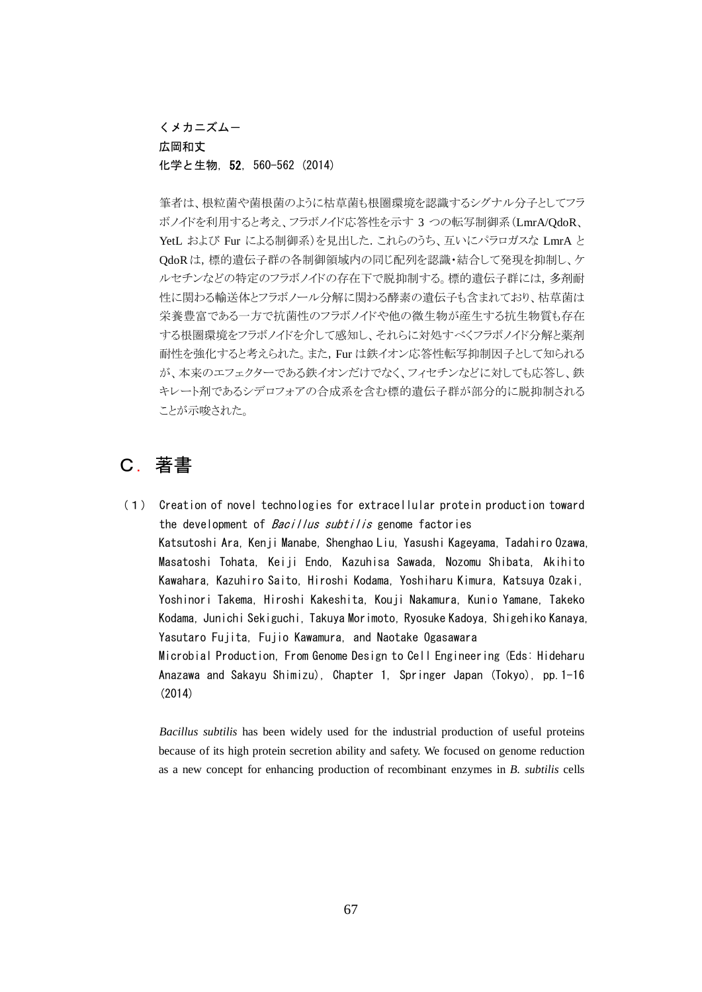くメカニズム-

#### 広岡和丈

#### 化学と生物,52,560-562 (2014)

筆者は、根粒菌や菌根菌のように枯草菌も根圏環境を認識するシグナル分子としてフラ ボノイドを利用すると考え、フラボノイド応答性を示す 3 つの転写制御系(LmrA/QdoR、 YetL および Fur による制御系)を見出した.これらのうち、互いにパラロガスな LmrA と QdoRは,標的遺伝子群の各制御領域内の同じ配列を認識・結合して発現を抑制し、ケ ルセチンなどの特定のフラボノイドの存在下で脱抑制する。標的遺伝子群には,多剤耐 性に関わる輸送体とフラボノール分解に関わる酵素の遺伝子も含まれており、枯草菌は 栄養豊富である一方で抗菌性のフラボノイドや他の微生物が産生する抗生物質も存在 する根圏環境をフラボノイドを介して感知し、それらに対処すべくフラボノイド分解と薬剤 耐性を強化すると考えられた。また,Fur は鉄イオン応答性転写抑制因子として知られる が、本来のエフェクターである鉄イオンだけでなく、フィセチンなどに対しても応答し、鉄 キレート剤であるシデロフォアの合成系を含む標的遺伝子群が部分的に脱抑制される ことが示唆された。

# C.著書

(1) Creation of novel technologies for extracellular protein production toward the development of *Bacillus subtilis* genome factories Katsutoshi Ara, Kenji Manabe, Shenghao Liu, Yasushi Kageyama, Tadahiro Ozawa, Masatoshi Tohata, Keiji Endo, Kazuhisa Sawada, Nozomu Shibata, Akihito Kawahara, Kazuhiro Saito, Hiroshi Kodama, Yoshiharu Kimura, Katsuya Ozaki, Yoshinori Takema, Hiroshi Kakeshita, Kouji Nakamura, Kunio Yamane, Takeko Kodama, Junichi Sekiguchi, Takuya Morimoto, Ryosuke Kadoya, Shigehiko Kanaya, Yasutaro Fujita, Fujio Kawamura, and Naotake Ogasawara Microbial Production, From Genome Design to Cell Engineering (Eds: Hideharu Anazawa and Sakayu Shimizu), Chapter 1, Springer Japan (Tokyo), pp.1-16 (2014)

*Bacillus subtilis* has been widely used for the industrial production of useful proteins because of its high protein secretion ability and safety. We focused on genome reduction as a new concept for enhancing production of recombinant enzymes in *B. subtilis* cells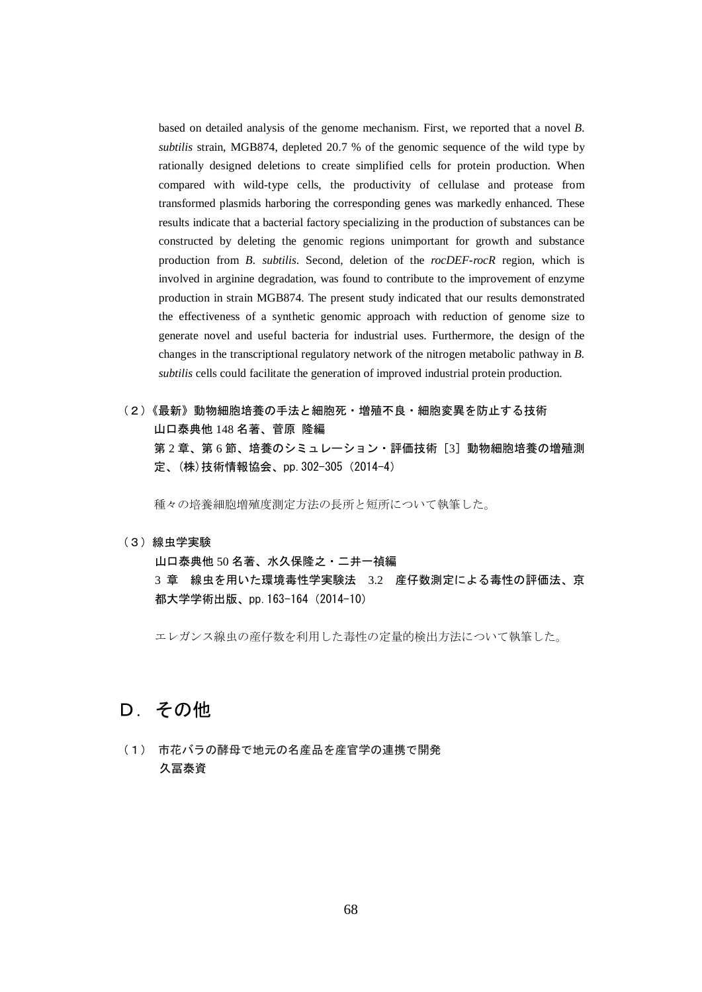based on detailed analysis of the genome mechanism. First, we reported that a novel *B. subtilis* strain, MGB874, depleted 20.7 % of the genomic sequence of the wild type by rationally designed deletions to create simplified cells for protein production. When compared with wild-type cells, the productivity of cellulase and protease from transformed plasmids harboring the corresponding genes was markedly enhanced. These results indicate that a bacterial factory specializing in the production of substances can be constructed by deleting the genomic regions unimportant for growth and substance production from *B. subtilis*. Second, deletion of the *rocDEF-rocR* region, which is involved in arginine degradation, was found to contribute to the improvement of enzyme production in strain MGB874. The present study indicated that our results demonstrated the effectiveness of a synthetic genomic approach with reduction of genome size to generate novel and useful bacteria for industrial uses. Furthermore, the design of the changes in the transcriptional regulatory network of the nitrogen metabolic pathway in *B. subtilis* cells could facilitate the generation of improved industrial protein production.

(2)《最新》動物細胞培養の手法と細胞死・増殖不良・細胞変異を防止する技術 山口泰典他 148 名著、菅原 隆編 第2章、第6節、培養のシミュレーション・評価技術[3]動物細胞培養の増殖測 定、(株)技術情報協会、pp.302-305(2014-4)

種々の培養細胞増殖度測定方法の長所と短所について執筆した。

(3)線虫学実験

山口泰典他 50 名著、水久保隆之・二井一禎編 3 章 線虫を用いた環境毒性学実験法 3.2 産仔数測定による毒性の評価法、京 都大学学術出版、pp.163-164(2014-10)

エレガンス線虫の産仔数を利用した毒性の定量的検出方法について執筆した。

# D. その他

(1) 市花バラの酵母で地元の名産品を産官学の連携で開発 久冨泰資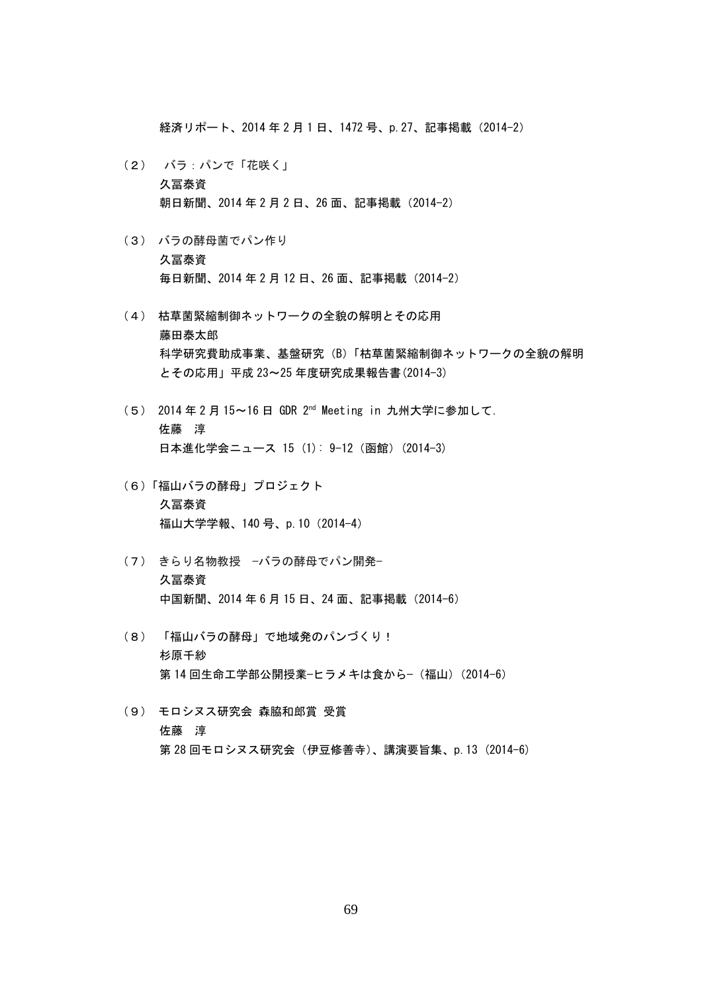経済リポート、2014 年 2 月 1 日、1472 号、p. 27、記事掲載 (2014-2)

- (2) バラ:パンで「花咲く」 久冨泰資 朝日新聞、2014年2月2日、26面、記事掲載(2014-2)
- (3) バラの酵母菌でパン作り 久冨泰資 毎日新聞、2014 年 2 月 12 日、26 面、記事掲載(2014-2)
- (4) 枯草菌緊縮制御ネットワークの全貌の解明とその応用 藤田泰太郎 科学研究費助成事業、基盤研究(B)「枯草菌緊縮制御ネットワークの全貌の解明 とその応用」平成 23~25 年度研究成果報告書(2014-3)
- (5) 2014 年 2 月 15~16 日 GDR 2nd Meeting in 九州大学に参加して. 佐藤 淳 日本進化学会ニュース 15 (1): 9-12 (函館) (2014-3)
- (6)「福山バラの酵母」プロジェクト 久冨泰資 福山大学学報、140号、p.10 (2014-4)
- (7) きらり名物教授 −バラの酵母でパン開発− 久冨泰資 中国新聞、2014年6月15日、24面、記事掲載(2014-6)
- (8) 「福山バラの酵母」で地域発のパンづくり! 杉原千紗 第 14 回生命工学部公開授業−ヒラメキは食から−(福山)(2014-6)
- (9) モロシヌス研究会 森脇和郎賞 受賞 佐藤 淳 第 28 回モロシヌス研究会 (伊豆修善寺)、講演要旨集、p.13 (2014-6)